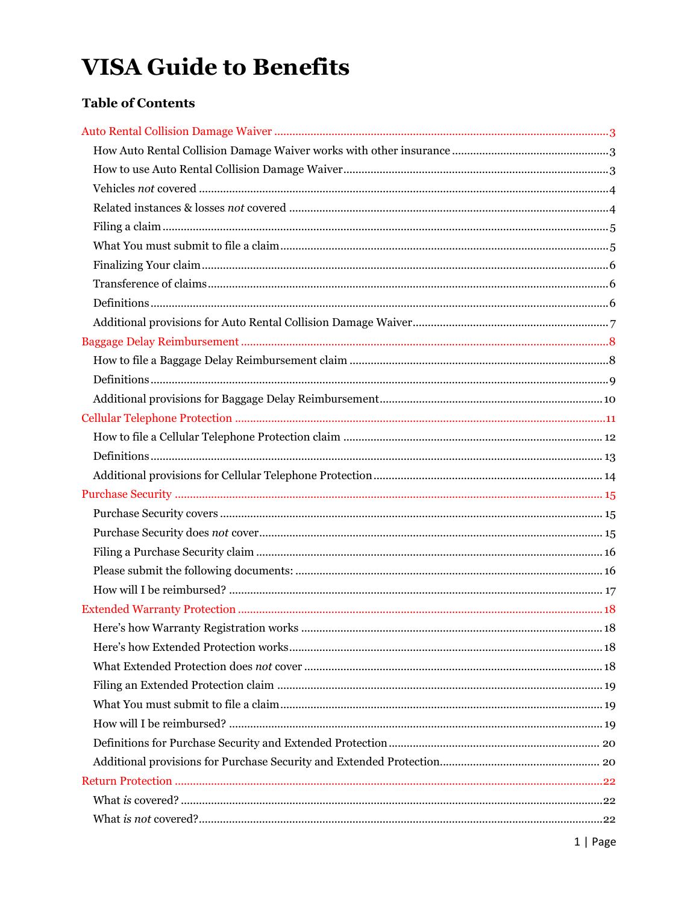# **VISA Guide to Benefits**

## **Table of Contents**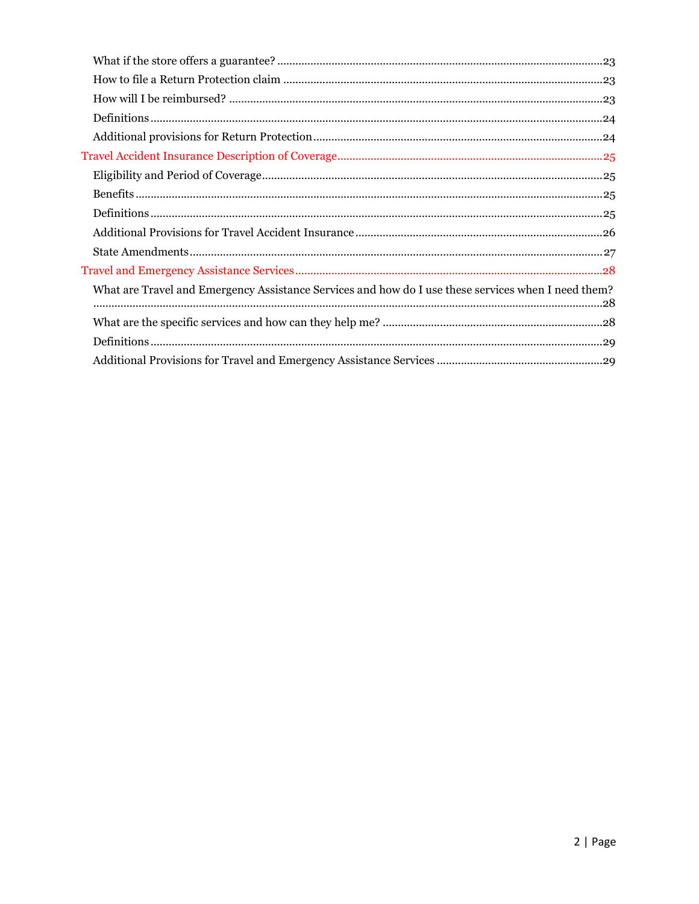| What are Travel and Emergency Assistance Services and how do I use these services when I need them? |
|-----------------------------------------------------------------------------------------------------|
|                                                                                                     |
|                                                                                                     |
|                                                                                                     |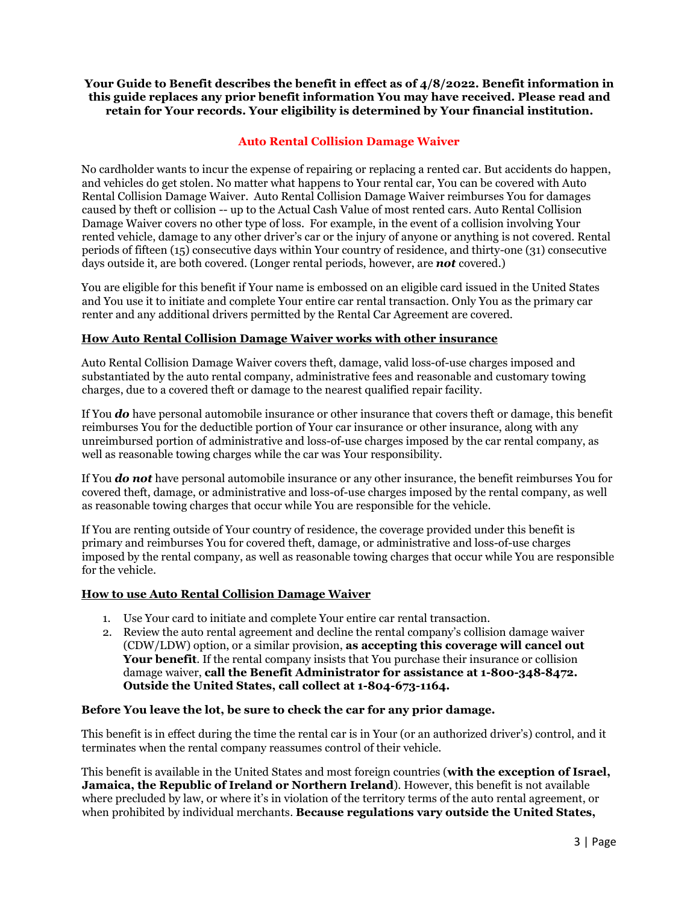## **Your Guide to Benefit describes the benefit in effect as of 4/8/2022. Benefit information in this guide replaces any prior benefit information You may have received. Please read and retain for Your records. Your eligibility is determined by Your financial institution.**

## **Auto Rental Collision Damage Waiver**

<span id="page-2-0"></span>No cardholder wants to incur the expense of repairing or replacing a rented car. But accidents do happen, and vehicles do get stolen. No matter what happens to Your rental car, You can be covered with Auto Rental Collision Damage Waiver. Auto Rental Collision Damage Waiver reimburses You for damages caused by theft or collision -- up to the Actual Cash Value of most rented cars. Auto Rental Collision Damage Waiver covers no other type of loss. For example, in the event of a collision involving Your rented vehicle, damage to any other driver's car or the injury of anyone or anything is not covered. Rental periods of fifteen (15) consecutive days within Your country of residence, and thirty-one (31) consecutive days outside it, are both covered. (Longer rental periods, however, are *not* covered.)

You are eligible for this benefit if Your name is embossed on an eligible card issued in the United States and You use it to initiate and complete Your entire car rental transaction. Only You as the primary car renter and any additional drivers permitted by the Rental Car Agreement are covered.

## <span id="page-2-1"></span>**How Auto Rental Collision Damage Waiver works with other insurance**

Auto Rental Collision Damage Waiver covers theft, damage, valid loss-of-use charges imposed and substantiated by the auto rental company, administrative fees and reasonable and customary towing charges, due to a covered theft or damage to the nearest qualified repair facility.

If You *do* have personal automobile insurance or other insurance that covers theft or damage, this benefit reimburses You for the deductible portion of Your car insurance or other insurance, along with any unreimbursed portion of administrative and loss-of-use charges imposed by the car rental company, as well as reasonable towing charges while the car was Your responsibility.

If You *do not* have personal automobile insurance or any other insurance, the benefit reimburses You for covered theft, damage, or administrative and loss-of-use charges imposed by the rental company, as well as reasonable towing charges that occur while You are responsible for the vehicle.

If You are renting outside of Your country of residence, the coverage provided under this benefit is primary and reimburses You for covered theft, damage, or administrative and loss-of-use charges imposed by the rental company, as well as reasonable towing charges that occur while You are responsible for the vehicle.

#### <span id="page-2-2"></span>**How to use Auto Rental Collision Damage Waiver**

- 1. Use Your card to initiate and complete Your entire car rental transaction.
- 2. Review the auto rental agreement and decline the rental company's collision damage waiver (CDW/LDW) option, or a similar provision, **as accepting this coverage will cancel out Your benefit**. If the rental company insists that You purchase their insurance or collision damage waiver, **call the Benefit Administrator for assistance at 1-800-348-8472. Outside the United States, call collect at 1-804-673-1164.**

#### **Before You leave the lot, be sure to check the car for any prior damage.**

This benefit is in effect during the time the rental car is in Your (or an authorized driver's) control, and it terminates when the rental company reassumes control of their vehicle.

This benefit is available in the United States and most foreign countries (**with the exception of Israel, Jamaica, the Republic of Ireland or Northern Ireland**). However, this benefit is not available where precluded by law, or where it's in violation of the territory terms of the auto rental agreement, or when prohibited by individual merchants. **Because regulations vary outside the United States,**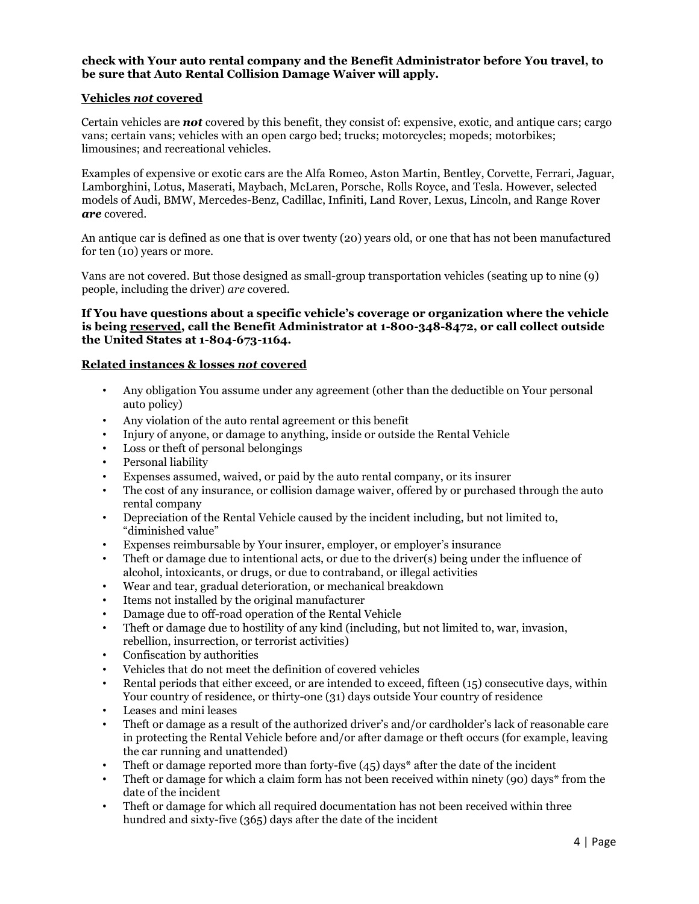## **check with Your auto rental company and the Benefit Administrator before You travel, to be sure that Auto Rental Collision Damage Waiver will apply.**

## <span id="page-3-0"></span>**Vehicles** *not* **covered**

Certain vehicles are *not* covered by this benefit, they consist of: expensive, exotic, and antique cars; cargo vans; certain vans; vehicles with an open cargo bed; trucks; motorcycles; mopeds; motorbikes; limousines; and recreational vehicles.

Examples of expensive or exotic cars are the Alfa Romeo, Aston Martin, Bentley, Corvette, Ferrari, Jaguar, Lamborghini, Lotus, Maserati, Maybach, McLaren, Porsche, Rolls Royce, and Tesla. However, selected models of Audi, BMW, Mercedes-Benz, Cadillac, Infiniti, Land Rover, Lexus, Lincoln, and Range Rover *are* covered.

An antique car is defined as one that is over twenty (20) years old, or one that has not been manufactured for ten (10) years or more.

Vans are not covered. But those designed as small-group transportation vehicles (seating up to nine (9) people, including the driver) *are* covered.

#### **If You have questions about a specific vehicle's coverage or organization where the vehicle is being reserved, call the Benefit Administrator at 1-800-348-8472, or call collect outside the United States at 1-804-673-1164.**

#### <span id="page-3-1"></span>**Related instances & losses** *not* **covered**

- Any obligation You assume under any agreement (other than the deductible on Your personal auto policy)
- Any violation of the auto rental agreement or this benefit
- Injury of anyone, or damage to anything, inside or outside the Rental Vehicle
- Loss or theft of personal belongings
- Personal liability
- Expenses assumed, waived, or paid by the auto rental company, or its insurer
- The cost of any insurance, or collision damage waiver, offered by or purchased through the auto rental company
- Depreciation of the Rental Vehicle caused by the incident including, but not limited to, "diminished value"
- Expenses reimbursable by Your insurer, employer, or employer's insurance
- Theft or damage due to intentional acts, or due to the driver(s) being under the influence of alcohol, intoxicants, or drugs, or due to contraband, or illegal activities
- Wear and tear, gradual deterioration, or mechanical breakdown
- Items not installed by the original manufacturer
- Damage due to off-road operation of the Rental Vehicle
- Theft or damage due to hostility of any kind (including, but not limited to, war, invasion, rebellion, insurrection, or terrorist activities)
- Confiscation by authorities
- Vehicles that do not meet the definition of covered vehicles
- Rental periods that either exceed, or are intended to exceed, fifteen (15) consecutive days, within Your country of residence, or thirty-one (31) days outside Your country of residence
- Leases and mini leases
- Theft or damage as a result of the authorized driver's and/or cardholder's lack of reasonable care in protecting the Rental Vehicle before and/or after damage or theft occurs (for example, leaving the car running and unattended)
- Theft or damage reported more than forty-five (45) days\* after the date of the incident
- Theft or damage for which a claim form has not been received within ninety (90) days\* from the date of the incident
- Theft or damage for which all required documentation has not been received within three hundred and sixty-five (365) days after the date of the incident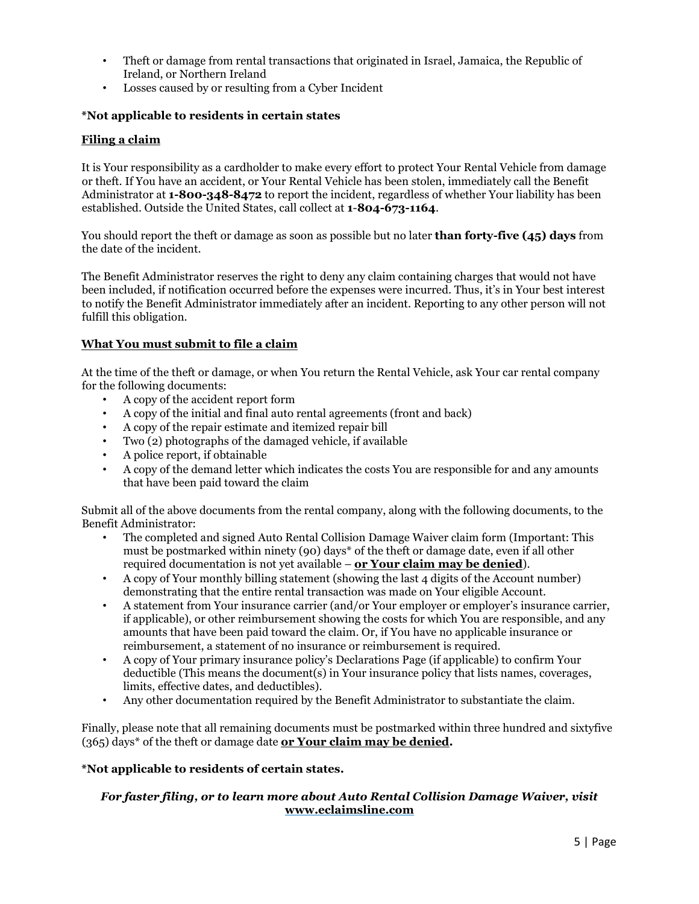- Theft or damage from rental transactions that originated in Israel, Jamaica, the Republic of Ireland, or Northern Ireland
- Losses caused by or resulting from a Cyber Incident

## **\*Not applicable to residents in certain states**

#### <span id="page-4-0"></span>**Filing a claim**

It is Your responsibility as a cardholder to make every effort to protect Your Rental Vehicle from damage or theft. If You have an accident, or Your Rental Vehicle has been stolen, immediately call the Benefit Administrator at **1-800-348-8472** to report the incident, regardless of whether Your liability has been established. Outside the United States, call collect at **1**-**804-673-1164**.

You should report the theft or damage as soon as possible but no later **than forty-five (45) days** from the date of the incident.

The Benefit Administrator reserves the right to deny any claim containing charges that would not have been included, if notification occurred before the expenses were incurred. Thus, it's in Your best interest to notify the Benefit Administrator immediately after an incident. Reporting to any other person will not fulfill this obligation.

#### <span id="page-4-1"></span>**What You must submit to file a claim**

At the time of the theft or damage, or when You return the Rental Vehicle, ask Your car rental company for the following documents:

- A copy of the accident report form
- A copy of the initial and final auto rental agreements (front and back)
- A copy of the repair estimate and itemized repair bill
- Two (2) photographs of the damaged vehicle, if available
- A police report, if obtainable
- A copy of the demand letter which indicates the costs You are responsible for and any amounts that have been paid toward the claim

Submit all of the above documents from the rental company, along with the following documents, to the Benefit Administrator:

- The completed and signed Auto Rental Collision Damage Waiver claim form (Important: This must be postmarked within ninety (90) days\* of the theft or damage date, even if all other required documentation is not yet available – **or Your claim may be denied**).
- A copy of Your monthly billing statement (showing the last 4 digits of the Account number) demonstrating that the entire rental transaction was made on Your eligible Account.
- A statement from Your insurance carrier (and/or Your employer or employer's insurance carrier, if applicable), or other reimbursement showing the costs for which You are responsible, and any amounts that have been paid toward the claim. Or, if You have no applicable insurance or reimbursement, a statement of no insurance or reimbursement is required.
- A copy of Your primary insurance policy's Declarations Page (if applicable) to confirm Your deductible (This means the document(s) in Your insurance policy that lists names, coverages, limits, effective dates, and deductibles).
- Any other documentation required by the Benefit Administrator to substantiate the claim.

Finally, please note that all remaining documents must be postmarked within three hundred and sixtyfive (365) days\* of the theft or damage date **or Your claim may be denied.**

#### **\*Not applicable to residents of certain states.**

## *For faster filing, or to learn more about Auto Rental Collision Damage Waiver, visit*  **[www.eclaimsline.com](http://www.eclaimsline.com/)**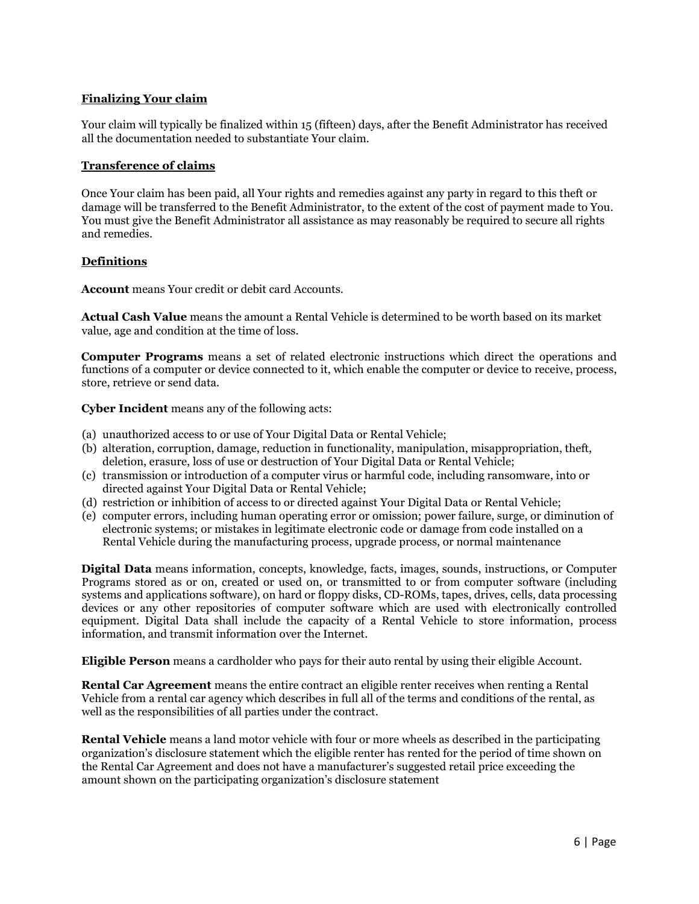## <span id="page-5-0"></span>**Finalizing Your claim**

Your claim will typically be finalized within 15 (fifteen) days, after the Benefit Administrator has received all the documentation needed to substantiate Your claim.

#### <span id="page-5-1"></span>**Transference of claims**

Once Your claim has been paid, all Your rights and remedies against any party in regard to this theft or damage will be transferred to the Benefit Administrator, to the extent of the cost of payment made to You. You must give the Benefit Administrator all assistance as may reasonably be required to secure all rights and remedies.

## <span id="page-5-2"></span>**Definitions**

**Account** means Your credit or debit card Accounts.

**Actual Cash Value** means the amount a Rental Vehicle is determined to be worth based on its market value, age and condition at the time of loss.

**Computer Programs** means a set of related electronic instructions which direct the operations and functions of a computer or device connected to it, which enable the computer or device to receive, process, store, retrieve or send data.

**Cyber Incident** means any of the following acts:

- (a) unauthorized access to or use of Your Digital Data or Rental Vehicle;
- (b) alteration, corruption, damage, reduction in functionality, manipulation, misappropriation, theft, deletion, erasure, loss of use or destruction of Your Digital Data or Rental Vehicle;
- (c) transmission or introduction of a computer virus or harmful code, including ransomware, into or directed against Your Digital Data or Rental Vehicle;
- (d) restriction or inhibition of access to or directed against Your Digital Data or Rental Vehicle;
- (e) computer errors, including human operating error or omission; power failure, surge, or diminution of electronic systems; or mistakes in legitimate electronic code or damage from code installed on a Rental Vehicle during the manufacturing process, upgrade process, or normal maintenance

**Digital Data** means information, concepts, knowledge, facts, images, sounds, instructions, or Computer Programs stored as or on, created or used on, or transmitted to or from computer software (including systems and applications software), on hard or floppy disks, CD-ROMs, tapes, drives, cells, data processing devices or any other repositories of computer software which are used with electronically controlled equipment. Digital Data shall include the capacity of a Rental Vehicle to store information, process information, and transmit information over the Internet.

**Eligible Person** means a cardholder who pays for their auto rental by using their eligible Account.

**Rental Car Agreement** means the entire contract an eligible renter receives when renting a Rental Vehicle from a rental car agency which describes in full all of the terms and conditions of the rental, as well as the responsibilities of all parties under the contract.

**Rental Vehicle** means a land motor vehicle with four or more wheels as described in the participating organization's disclosure statement which the eligible renter has rented for the period of time shown on the Rental Car Agreement and does not have a manufacturer's suggested retail price exceeding the amount shown on the participating organization's disclosure statement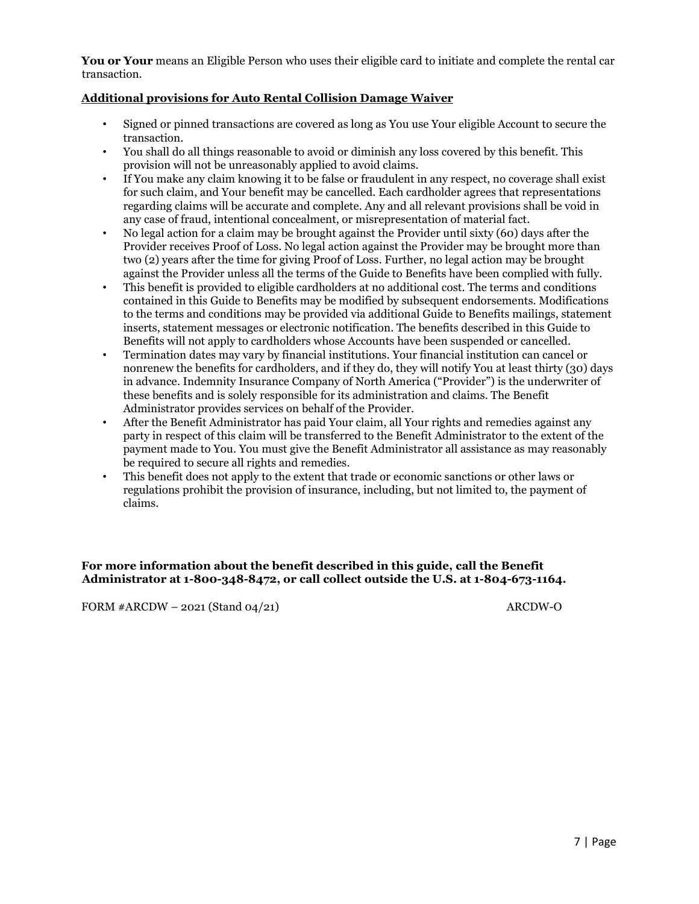**You or Your** means an Eligible Person who uses their eligible card to initiate and complete the rental car transaction.

## <span id="page-6-0"></span>**Additional provisions for Auto Rental Collision Damage Waiver**

- Signed or pinned transactions are covered as long as You use Your eligible Account to secure the transaction.
- You shall do all things reasonable to avoid or diminish any loss covered by this benefit. This provision will not be unreasonably applied to avoid claims.
- If You make any claim knowing it to be false or fraudulent in any respect, no coverage shall exist for such claim, and Your benefit may be cancelled. Each cardholder agrees that representations regarding claims will be accurate and complete. Any and all relevant provisions shall be void in any case of fraud, intentional concealment, or misrepresentation of material fact.
- No legal action for a claim may be brought against the Provider until sixty (60) days after the Provider receives Proof of Loss. No legal action against the Provider may be brought more than two (2) years after the time for giving Proof of Loss. Further, no legal action may be brought against the Provider unless all the terms of the Guide to Benefits have been complied with fully.
- This benefit is provided to eligible cardholders at no additional cost. The terms and conditions contained in this Guide to Benefits may be modified by subsequent endorsements. Modifications to the terms and conditions may be provided via additional Guide to Benefits mailings, statement inserts, statement messages or electronic notification. The benefits described in this Guide to Benefits will not apply to cardholders whose Accounts have been suspended or cancelled.
- Termination dates may vary by financial institutions. Your financial institution can cancel or nonrenew the benefits for cardholders, and if they do, they will notify You at least thirty (30) days in advance. Indemnity Insurance Company of North America ("Provider") is the underwriter of these benefits and is solely responsible for its administration and claims. The Benefit Administrator provides services on behalf of the Provider.
- After the Benefit Administrator has paid Your claim, all Your rights and remedies against any party in respect of this claim will be transferred to the Benefit Administrator to the extent of the payment made to You. You must give the Benefit Administrator all assistance as may reasonably be required to secure all rights and remedies.
- This benefit does not apply to the extent that trade or economic sanctions or other laws or regulations prohibit the provision of insurance, including, but not limited to, the payment of claims.

## **For more information about the benefit described in this guide, call the Benefit Administrator at 1-800-348-8472, or call collect outside the U.S. at 1-804-673-1164.**

FORM  $#ARCDW - 2021$  (Stand 04/21) ARCDW-O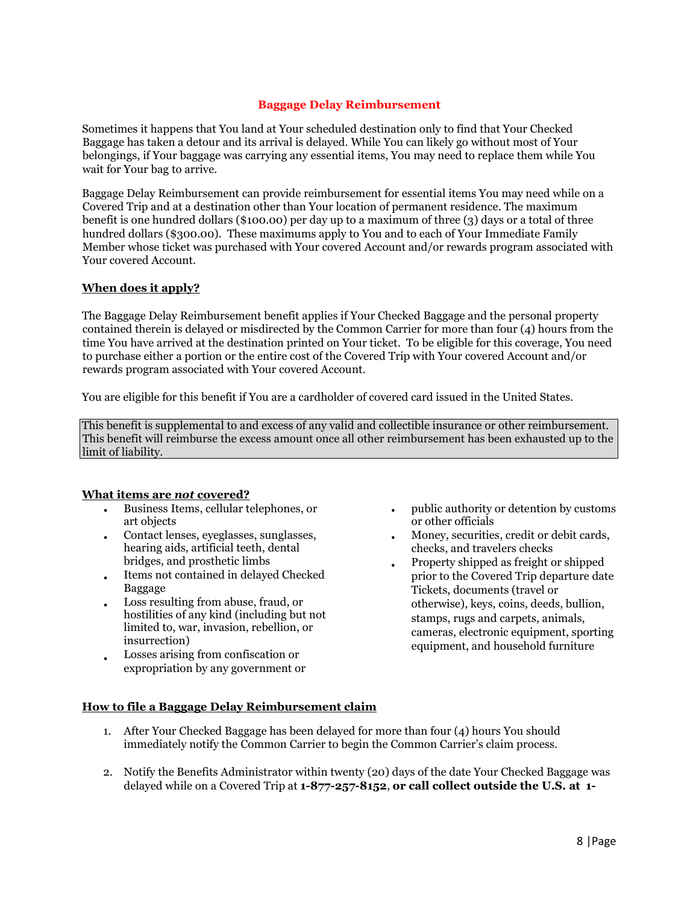## **Baggage Delay Reimbursement**

<span id="page-7-0"></span>Sometimes it happens that You land at Your scheduled destination only to find that Your Checked Baggage has taken a detour and its arrival is delayed. While You can likely go without most of Your belongings, if Your baggage was carrying any essential items, You may need to replace them while You wait for Your bag to arrive.

Baggage Delay Reimbursement can provide reimbursement for essential items You may need while on a Covered Trip and at a destination other than Your location of permanent residence. The maximum benefit is one hundred dollars (\$100.00) per day up to a maximum of three (3) days or a total of three hundred dollars (\$300.00). These maximums apply to You and to each of Your Immediate Family Member whose ticket was purchased with Your covered Account and/or rewards program associated with Your covered Account.

## **When does it apply?**

The Baggage Delay Reimbursement benefit applies if Your Checked Baggage and the personal property contained therein is delayed or misdirected by the Common Carrier for more than four (4) hours from the time You have arrived at the destination printed on Your ticket. To be eligible for this coverage, You need to purchase either a portion or the entire cost of the Covered Trip with Your covered Account and/or rewards program associated with Your covered Account.

You are eligible for this benefit if You are a cardholder of covered card issued in the United States.

This benefit is supplemental to and excess of any valid and collectible insurance or other reimbursement. This benefit will reimburse the excess amount once all other reimbursement has been exhausted up to the limit of liability.

#### **What items are** *not* **covered?**

- Business Items, cellular telephones, or art objects
- Contact lenses, eyeglasses, sunglasses, hearing aids, artificial teeth, dental bridges, and prosthetic limbs
- Items not contained in delayed Checked Baggage
- Loss resulting from abuse, fraud, or hostilities of any kind (including but not limited to, war, invasion, rebellion, or insurrection)
- Losses arising from confiscation or expropriation by any government or
- public authority or detention by customs or other officials
- Money, securities, credit or debit cards, checks, and travelers checks
- Property shipped as freight or shipped prior to the Covered Trip departure date Tickets, documents (travel or otherwise), keys, coins, deeds, bullion, stamps, rugs and carpets, animals, cameras, electronic equipment, sporting equipment, and household furniture

## <span id="page-7-1"></span>**How to file a Baggage Delay Reimbursement claim**

- 1. After Your Checked Baggage has been delayed for more than four (4) hours You should immediately notify the Common Carrier to begin the Common Carrier's claim process.
- 2. Notify the Benefits Administrator within twenty (20) days of the date Your Checked Baggage was delayed while on a Covered Trip at **1-877-257-8152**, **or call collect outside the U.S. at 1-**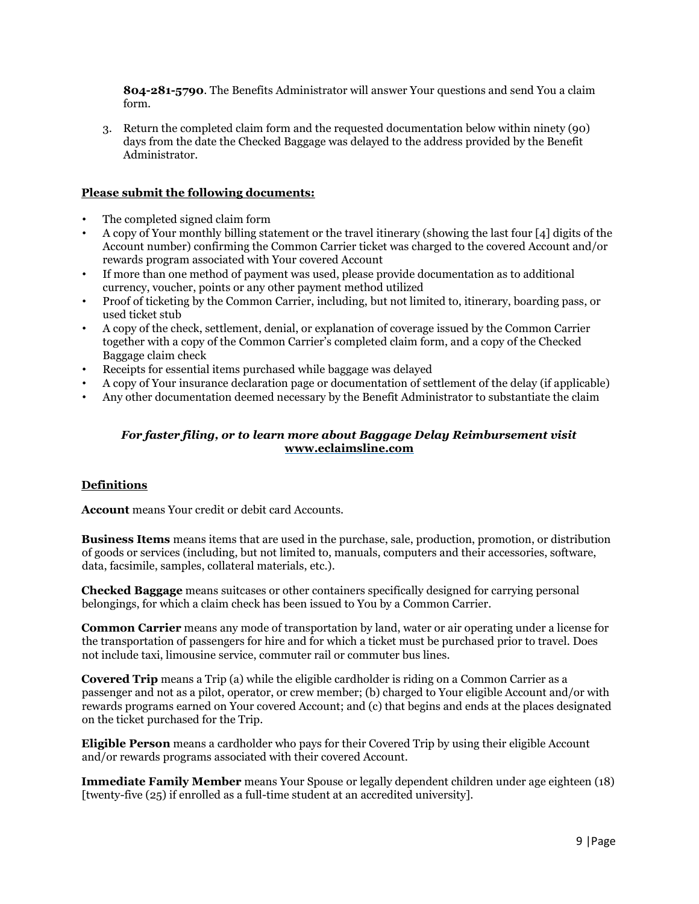**804-281-5790**. The Benefits Administrator will answer Your questions and send You a claim form.

3. Return the completed claim form and the requested documentation below within ninety (90) days from the date the Checked Baggage was delayed to the address provided by the Benefit Administrator.

#### **Please submit the following documents:**

- The completed signed claim form
- A copy of Your monthly billing statement or the travel itinerary (showing the last four [4] digits of the Account number) confirming the Common Carrier ticket was charged to the covered Account and/or rewards program associated with Your covered Account
- If more than one method of payment was used, please provide documentation as to additional currency, voucher, points or any other payment method utilized
- Proof of ticketing by the Common Carrier, including, but not limited to, itinerary, boarding pass, or used ticket stub
- A copy of the check, settlement, denial, or explanation of coverage issued by the Common Carrier together with a copy of the Common Carrier's completed claim form, and a copy of the Checked Baggage claim check
- Receipts for essential items purchased while baggage was delayed
- A copy of Your insurance declaration page or documentation of settlement of the delay (if applicable)
- Any other documentation deemed necessary by the Benefit Administrator to substantiate the claim

#### *For faster filing, or to learn more about Baggage Delay Reimbursement visit*  **[www.eclaimsline.com](http://www.eclaimsline.com/)**

#### <span id="page-8-0"></span>**Definitions**

**Account** means Your credit or debit card Accounts.

**Business Items** means items that are used in the purchase, sale, production, promotion, or distribution of goods or services (including, but not limited to, manuals, computers and their accessories, software, data, facsimile, samples, collateral materials, etc.).

**Checked Baggage** means suitcases or other containers specifically designed for carrying personal belongings, for which a claim check has been issued to You by a Common Carrier.

**Common Carrier** means any mode of transportation by land, water or air operating under a license for the transportation of passengers for hire and for which a ticket must be purchased prior to travel. Does not include taxi, limousine service, commuter rail or commuter bus lines.

**Covered Trip** means a Trip (a) while the eligible cardholder is riding on a Common Carrier as a passenger and not as a pilot, operator, or crew member; (b) charged to Your eligible Account and/or with rewards programs earned on Your covered Account; and (c) that begins and ends at the places designated on the ticket purchased for the Trip.

**Eligible Person** means a cardholder who pays for their Covered Trip by using their eligible Account and/or rewards programs associated with their covered Account.

**Immediate Family Member** means Your Spouse or legally dependent children under age eighteen (18) [twenty-five (25) if enrolled as a full-time student at an accredited university].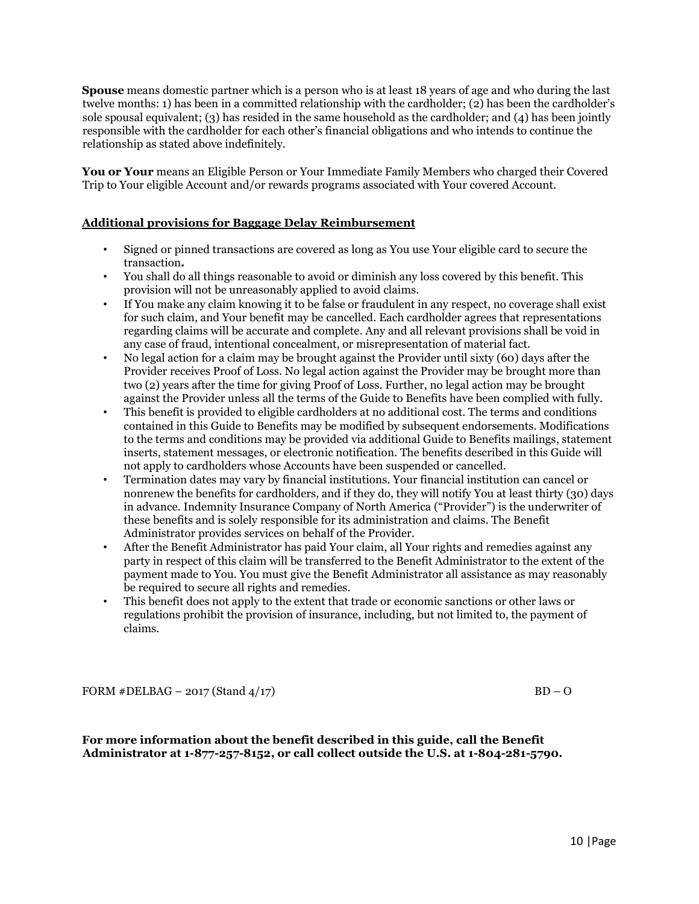**Spouse** means domestic partner which is a person who is at least 18 years of age and who during the last twelve months: 1) has been in a committed relationship with the cardholder; (2) has been the cardholder's sole spousal equivalent; (3) has resided in the same household as the cardholder; and (4) has been jointly responsible with the cardholder for each other's financial obligations and who intends to continue the relationship as stated above indefinitely.

**You or Your** means an Eligible Person or Your Immediate Family Members who charged their Covered Trip to Your eligible Account and/or rewards programs associated with Your covered Account.

#### <span id="page-9-0"></span>**Additional provisions for Baggage Delay Reimbursement**

- Signed or pinned transactions are covered as long as You use Your eligible card to secure the transaction**.**
- You shall do all things reasonable to avoid or diminish any loss covered by this benefit. This provision will not be unreasonably applied to avoid claims.
- If You make any claim knowing it to be false or fraudulent in any respect, no coverage shall exist for such claim, and Your benefit may be cancelled. Each cardholder agrees that representations regarding claims will be accurate and complete. Any and all relevant provisions shall be void in any case of fraud, intentional concealment, or misrepresentation of material fact.
- No legal action for a claim may be brought against the Provider until sixty (60) days after the Provider receives Proof of Loss. No legal action against the Provider may be brought more than two (2) years after the time for giving Proof of Loss. Further, no legal action may be brought against the Provider unless all the terms of the Guide to Benefits have been complied with fully.
- This benefit is provided to eligible cardholders at no additional cost. The terms and conditions contained in this Guide to Benefits may be modified by subsequent endorsements. Modifications to the terms and conditions may be provided via additional Guide to Benefits mailings, statement inserts, statement messages, or electronic notification. The benefits described in this Guide will not apply to cardholders whose Accounts have been suspended or cancelled.
- Termination dates may vary by financial institutions. Your financial institution can cancel or nonrenew the benefits for cardholders, and if they do, they will notify You at least thirty (30) days in advance. Indemnity Insurance Company of North America ("Provider") is the underwriter of these benefits and is solely responsible for its administration and claims. The Benefit Administrator provides services on behalf of the Provider.
- After the Benefit Administrator has paid Your claim, all Your rights and remedies against any party in respect of this claim will be transferred to the Benefit Administrator to the extent of the payment made to You. You must give the Benefit Administrator all assistance as may reasonably be required to secure all rights and remedies.
- This benefit does not apply to the extent that trade or economic sanctions or other laws or regulations prohibit the provision of insurance, including, but not limited to, the payment of claims.

FORM  $\#DELBAG - 2017$  (Stand  $4/17$ ) BD – O

**For more information about the benefit described in this guide, call the Benefit Administrator at 1-877-257-8152, or call collect outside the U.S. at 1-804-281-5790.**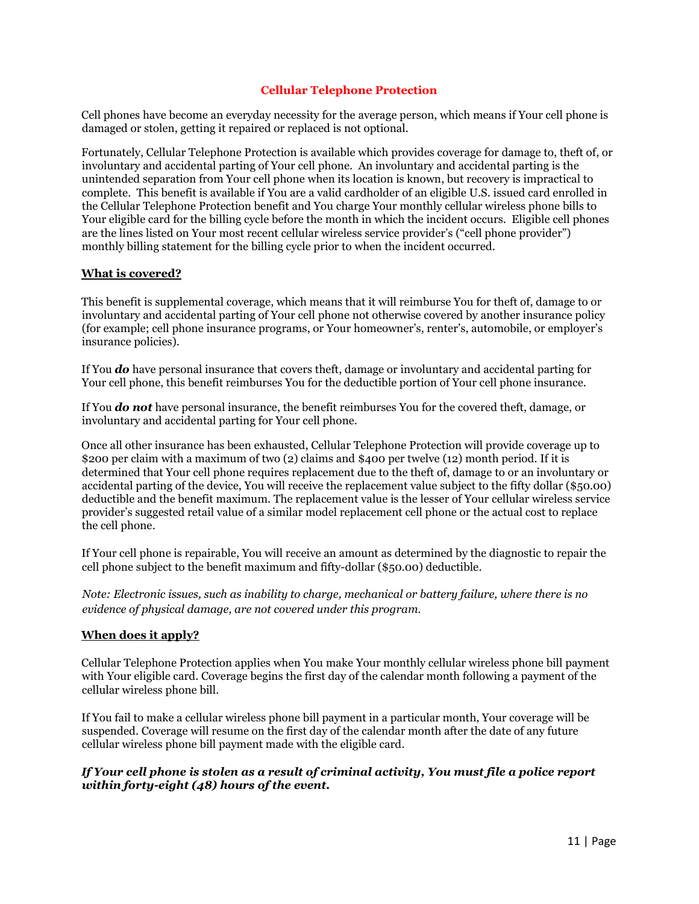## **Cellular Telephone Protection**

<span id="page-10-0"></span>Cell phones have become an everyday necessity for the average person, which means if Your cell phone is damaged or stolen, getting it repaired or replaced is not optional.

Fortunately, Cellular Telephone Protection is available which provides coverage for damage to, theft of, or involuntary and accidental parting of Your cell phone. An involuntary and accidental parting is the unintended separation from Your cell phone when its location is known, but recovery is impractical to complete. This benefit is available if You are a valid cardholder of an eligible U.S. issued card enrolled in the Cellular Telephone Protection benefit and You charge Your monthly cellular wireless phone bills to Your eligible card for the billing cycle before the month in which the incident occurs. Eligible cell phones are the lines listed on Your most recent cellular wireless service provider's ("cell phone provider") monthly billing statement for the billing cycle prior to when the incident occurred.

#### **What is covered?**

This benefit is supplemental coverage, which means that it will reimburse You for theft of, damage to or involuntary and accidental parting of Your cell phone not otherwise covered by another insurance policy (for example; cell phone insurance programs, or Your homeowner's, renter's, automobile, or employer's insurance policies).

If You *do* have personal insurance that covers theft, damage or involuntary and accidental parting for Your cell phone, this benefit reimburses You for the deductible portion of Your cell phone insurance.

If You *do not* have personal insurance, the benefit reimburses You for the covered theft, damage, or involuntary and accidental parting for Your cell phone.

Once all other insurance has been exhausted, Cellular Telephone Protection will provide coverage up to \$200 per claim with a maximum of two (2) claims and \$400 per twelve (12) month period. If it is determined that Your cell phone requires replacement due to the theft of, damage to or an involuntary or accidental parting of the device, You will receive the replacement value subject to the fifty dollar (\$50.00) deductible and the benefit maximum. The replacement value is the lesser of Your cellular wireless service provider's suggested retail value of a similar model replacement cell phone or the actual cost to replace the cell phone.

If Your cell phone is repairable, You will receive an amount as determined by the diagnostic to repair the cell phone subject to the benefit maximum and fifty-dollar (\$50.00) deductible.

*Note: Electronic issues, such as inability to charge, mechanical or battery failure, where there is no evidence of physical damage, are not covered under this program.* 

#### **When does it apply?**

Cellular Telephone Protection applies when You make Your monthly cellular wireless phone bill payment with Your eligible card. Coverage begins the first day of the calendar month following a payment of the cellular wireless phone bill.

If You fail to make a cellular wireless phone bill payment in a particular month, Your coverage will be suspended. Coverage will resume on the first day of the calendar month after the date of any future cellular wireless phone bill payment made with the eligible card.

#### *If Your cell phone is stolen as a result of criminal activity, You must file a police report within forty-eight (48) hours of the event.*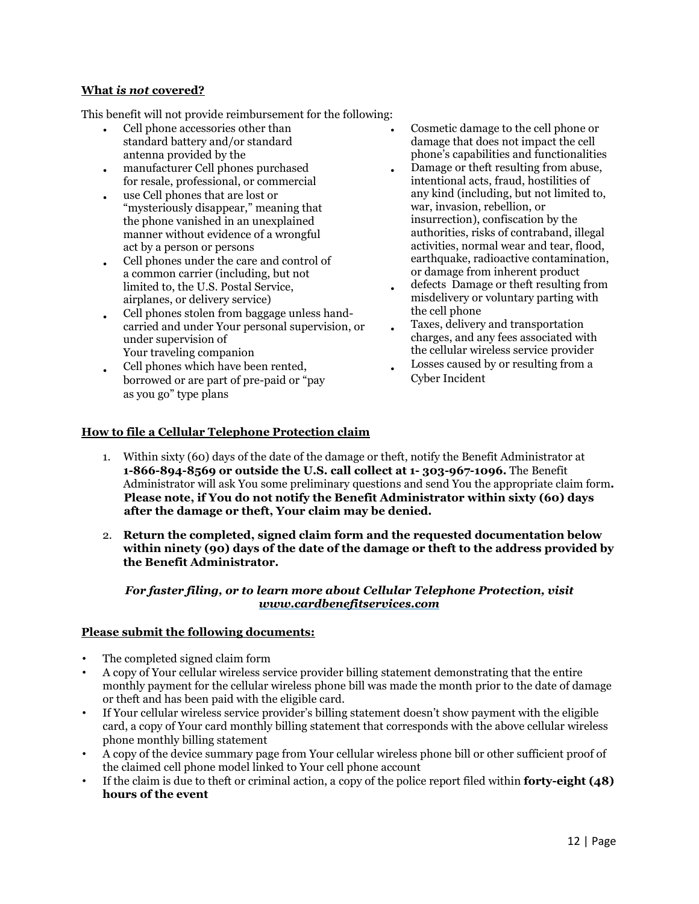## **What** *is not* **covered?**

This benefit will not provide reimbursement for the following:

- Cell phone accessories other than standard battery and/or standard antenna provided by the
- manufacturer Cell phones purchased for resale, professional, or commercial
- use Cell phones that are lost or "mysteriously disappear," meaning that the phone vanished in an unexplained manner without evidence of a wrongful act by a person or persons
- Cell phones under the care and control of a common carrier (including, but not limited to, the U.S. Postal Service, airplanes, or delivery service)
- Cell phones stolen from baggage unless handcarried and under Your personal supervision, or under supervision of Your traveling companion
- Cell phones which have been rented, borrowed or are part of pre-paid or "pay as you go" type plans
- Cosmetic damage to the cell phone or damage that does not impact the cell phone's capabilities and functionalities Damage or theft resulting from abuse,
- intentional acts, fraud, hostilities of any kind (including, but not limited to, war, invasion, rebellion, or insurrection), confiscation by the authorities, risks of contraband, illegal activities, normal wear and tear, flood, earthquake, radioactive contamination, or damage from inherent product
- defects Damage or theft resulting from misdelivery or voluntary parting with the cell phone
- Taxes, delivery and transportation charges, and any fees associated with the cellular wireless service provider
- Losses caused by or resulting from a Cyber Incident

## <span id="page-11-0"></span>**How to file a Cellular Telephone Protection claim**

1. Within sixty (60) days of the date of the damage or theft, notify the Benefit Administrator at **1-866-894-8569 or outside the U.S. call collect at 1- 303-967-1096.** The Benefit Administrator will ask You some preliminary questions and send You the appropriate claim form**. Please note, if You do not notify the Benefit Administrator within sixty (60) days after the damage or theft, Your claim may be denied.**

•

2. **Return the completed, signed claim form and the requested documentation below within ninety (90) days of the date of the damage or theft to the address provided by the Benefit Administrator.** 

## *For faster filing, or to learn more about Cellular Telephone Protection, visit [www.cardbenefitservices.com](http://www.cardbenefitservices.com/)*

#### **Please submit the following documents:**

- The completed signed claim form
- A copy of Your cellular wireless service provider billing statement demonstrating that the entire monthly payment for the cellular wireless phone bill was made the month prior to the date of damage or theft and has been paid with the eligible card.
- If Your cellular wireless service provider's billing statement doesn't show payment with the eligible card, a copy of Your card monthly billing statement that corresponds with the above cellular wireless phone monthly billing statement
- A copy of the device summary page from Your cellular wireless phone bill or other sufficient proof of the claimed cell phone model linked to Your cell phone account
- If the claim is due to theft or criminal action, a copy of the police report filed within **forty-eight (48) hours of the event**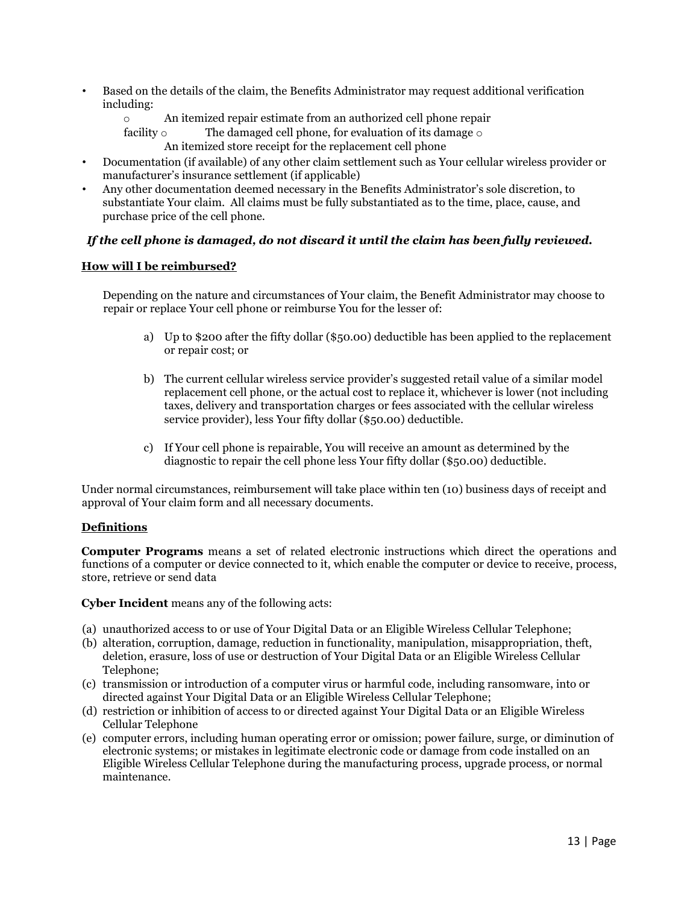- Based on the details of the claim, the Benefits Administrator may request additional verification including:
	- o An itemized repair estimate from an authorized cell phone repair facility  $\circ$  The damaged cell phone, for evaluation of its damage  $\circ$ 
		- The damaged cell phone, for evaluation of its damage  $\circ$ An itemized store receipt for the replacement cell phone
- Documentation (if available) of any other claim settlement such as Your cellular wireless provider or manufacturer's insurance settlement (if applicable)
- Any other documentation deemed necessary in the Benefits Administrator's sole discretion, to substantiate Your claim. All claims must be fully substantiated as to the time, place, cause, and purchase price of the cell phone.

## *If the cell phone is damaged, do not discard it until the claim has been fully reviewed.*

## **How will I be reimbursed?**

Depending on the nature and circumstances of Your claim, the Benefit Administrator may choose to repair or replace Your cell phone or reimburse You for the lesser of:

- a) Up to \$200 after the fifty dollar (\$50.00) deductible has been applied to the replacement or repair cost; or
- b) The current cellular wireless service provider's suggested retail value of a similar model replacement cell phone, or the actual cost to replace it, whichever is lower (not including taxes, delivery and transportation charges or fees associated with the cellular wireless service provider), less Your fifty dollar (\$50.00) deductible.
- c) If Your cell phone is repairable, You will receive an amount as determined by the diagnostic to repair the cell phone less Your fifty dollar (\$50.00) deductible.

Under normal circumstances, reimbursement will take place within ten (10) business days of receipt and approval of Your claim form and all necessary documents.

#### <span id="page-12-0"></span>**Definitions**

**Computer Programs** means a set of related electronic instructions which direct the operations and functions of a computer or device connected to it, which enable the computer or device to receive, process, store, retrieve or send data

**Cyber Incident** means any of the following acts:

- (a) unauthorized access to or use of Your Digital Data or an Eligible Wireless Cellular Telephone;
- (b) alteration, corruption, damage, reduction in functionality, manipulation, misappropriation, theft, deletion, erasure, loss of use or destruction of Your Digital Data or an Eligible Wireless Cellular Telephone;
- (c) transmission or introduction of a computer virus or harmful code, including ransomware, into or directed against Your Digital Data or an Eligible Wireless Cellular Telephone;
- (d) restriction or inhibition of access to or directed against Your Digital Data or an Eligible Wireless Cellular Telephone
- (e) computer errors, including human operating error or omission; power failure, surge, or diminution of electronic systems; or mistakes in legitimate electronic code or damage from code installed on an Eligible Wireless Cellular Telephone during the manufacturing process, upgrade process, or normal maintenance.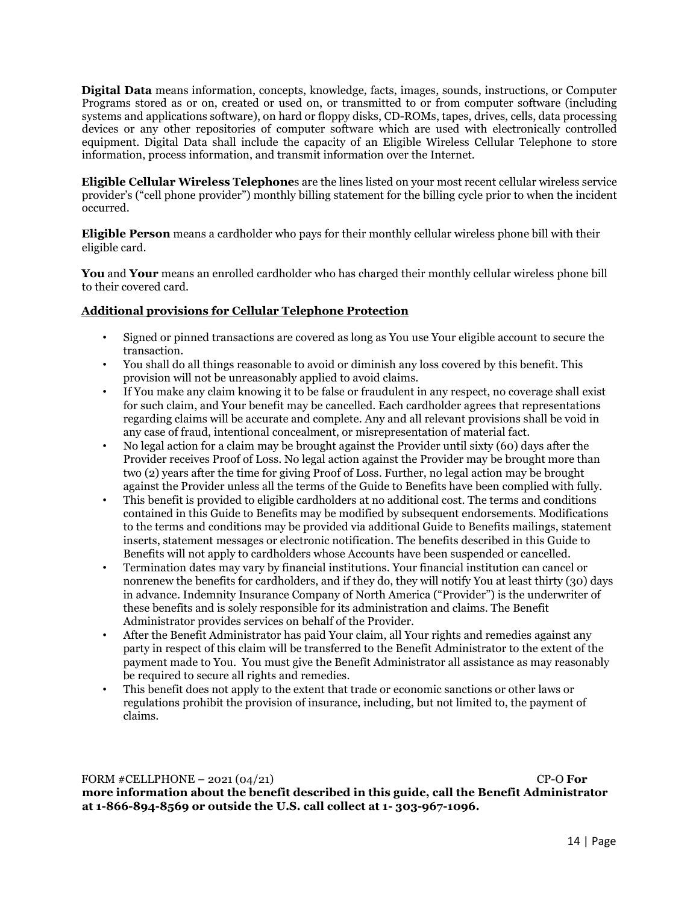**Digital Data** means information, concepts, knowledge, facts, images, sounds, instructions, or Computer Programs stored as or on, created or used on, or transmitted to or from computer software (including systems and applications software), on hard or floppy disks, CD-ROMs, tapes, drives, cells, data processing devices or any other repositories of computer software which are used with electronically controlled equipment. Digital Data shall include the capacity of an Eligible Wireless Cellular Telephone to store information, process information, and transmit information over the Internet.

**Eligible Cellular Wireless Telephone**s are the lines listed on your most recent cellular wireless service provider's ("cell phone provider") monthly billing statement for the billing cycle prior to when the incident occurred.

**Eligible Person** means a cardholder who pays for their monthly cellular wireless phone bill with their eligible card.

**You** and **Your** means an enrolled cardholder who has charged their monthly cellular wireless phone bill to their covered card.

## <span id="page-13-0"></span>**Additional provisions for Cellular Telephone Protection**

- Signed or pinned transactions are covered as long as You use Your eligible account to secure the transaction.
- You shall do all things reasonable to avoid or diminish any loss covered by this benefit. This provision will not be unreasonably applied to avoid claims.
- If You make any claim knowing it to be false or fraudulent in any respect, no coverage shall exist for such claim, and Your benefit may be cancelled. Each cardholder agrees that representations regarding claims will be accurate and complete. Any and all relevant provisions shall be void in any case of fraud, intentional concealment, or misrepresentation of material fact.
- No legal action for a claim may be brought against the Provider until sixty (60) days after the Provider receives Proof of Loss. No legal action against the Provider may be brought more than two (2) years after the time for giving Proof of Loss. Further, no legal action may be brought against the Provider unless all the terms of the Guide to Benefits have been complied with fully.
- This benefit is provided to eligible cardholders at no additional cost. The terms and conditions contained in this Guide to Benefits may be modified by subsequent endorsements. Modifications to the terms and conditions may be provided via additional Guide to Benefits mailings, statement inserts, statement messages or electronic notification. The benefits described in this Guide to Benefits will not apply to cardholders whose Accounts have been suspended or cancelled.
- Termination dates may vary by financial institutions. Your financial institution can cancel or nonrenew the benefits for cardholders, and if they do, they will notify You at least thirty (30) days in advance. Indemnity Insurance Company of North America ("Provider") is the underwriter of these benefits and is solely responsible for its administration and claims. The Benefit Administrator provides services on behalf of the Provider.
- After the Benefit Administrator has paid Your claim, all Your rights and remedies against any party in respect of this claim will be transferred to the Benefit Administrator to the extent of the payment made to You. You must give the Benefit Administrator all assistance as may reasonably be required to secure all rights and remedies.
- This benefit does not apply to the extent that trade or economic sanctions or other laws or regulations prohibit the provision of insurance, including, but not limited to, the payment of claims.

#### FORM #CELLPHONE – 2021 (04/21) CP-O **For**

**more information about the benefit described in this guide, call the Benefit Administrator at 1-866-894-8569 or outside the U.S. call collect at 1- 303-967-1096.**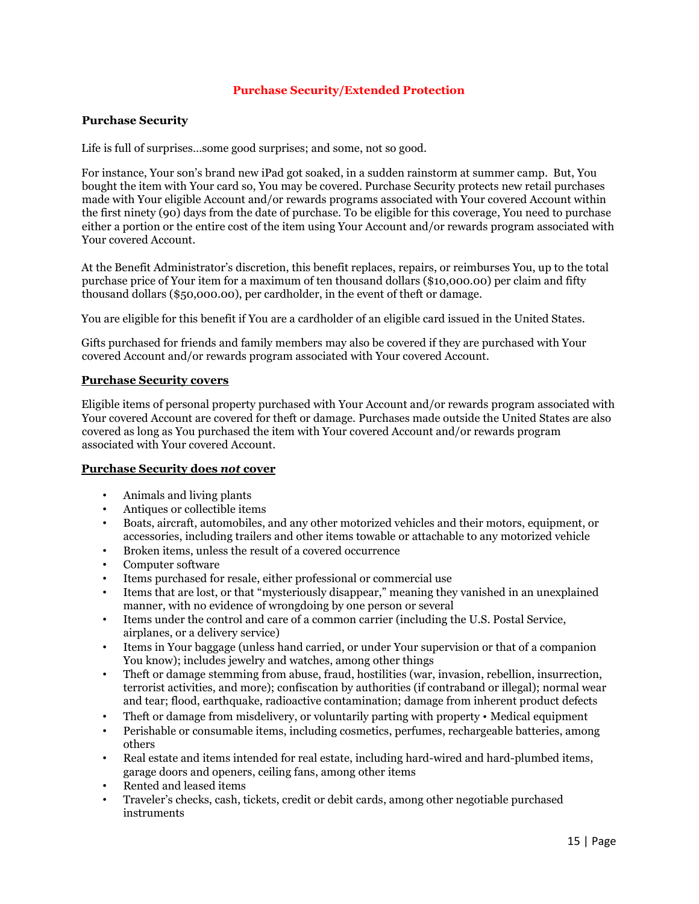## **Purchase Security/Extended Protection**

#### <span id="page-14-0"></span>**Purchase Security**

Life is full of surprises…some good surprises; and some, not so good.

For instance, Your son's brand new iPad got soaked, in a sudden rainstorm at summer camp. But, You bought the item with Your card so, You may be covered. Purchase Security protects new retail purchases made with Your eligible Account and/or rewards programs associated with Your covered Account within the first ninety (90) days from the date of purchase. To be eligible for this coverage, You need to purchase either a portion or the entire cost of the item using Your Account and/or rewards program associated with Your covered Account.

At the Benefit Administrator's discretion, this benefit replaces, repairs, or reimburses You, up to the total purchase price of Your item for a maximum of ten thousand dollars (\$10,000.00) per claim and fifty thousand dollars (\$50,000.00), per cardholder, in the event of theft or damage.

You are eligible for this benefit if You are a cardholder of an eligible card issued in the United States.

Gifts purchased for friends and family members may also be covered if they are purchased with Your covered Account and/or rewards program associated with Your covered Account.

#### <span id="page-14-1"></span>**Purchase Security covers**

Eligible items of personal property purchased with Your Account and/or rewards program associated with Your covered Account are covered for theft or damage. Purchases made outside the United States are also covered as long as You purchased the item with Your covered Account and/or rewards program associated with Your covered Account.

#### <span id="page-14-2"></span>**Purchase Security does** *not* **cover**

- Animals and living plants
- Antiques or collectible items
- Boats, aircraft, automobiles, and any other motorized vehicles and their motors, equipment, or accessories, including trailers and other items towable or attachable to any motorized vehicle
- Broken items, unless the result of a covered occurrence
- Computer software
- Items purchased for resale, either professional or commercial use
- Items that are lost, or that "mysteriously disappear," meaning they vanished in an unexplained manner, with no evidence of wrongdoing by one person or several
- Items under the control and care of a common carrier (including the U.S. Postal Service, airplanes, or a delivery service)
- Items in Your baggage (unless hand carried, or under Your supervision or that of a companion You know); includes jewelry and watches, among other things
- Theft or damage stemming from abuse, fraud, hostilities (war, invasion, rebellion, insurrection, terrorist activities, and more); confiscation by authorities (if contraband or illegal); normal wear and tear; flood, earthquake, radioactive contamination; damage from inherent product defects
- Theft or damage from misdelivery, or voluntarily parting with property Medical equipment
- Perishable or consumable items, including cosmetics, perfumes, rechargeable batteries, among others
- Real estate and items intended for real estate, including hard-wired and hard-plumbed items, garage doors and openers, ceiling fans, among other items
- Rented and leased items
- Traveler's checks, cash, tickets, credit or debit cards, among other negotiable purchased instruments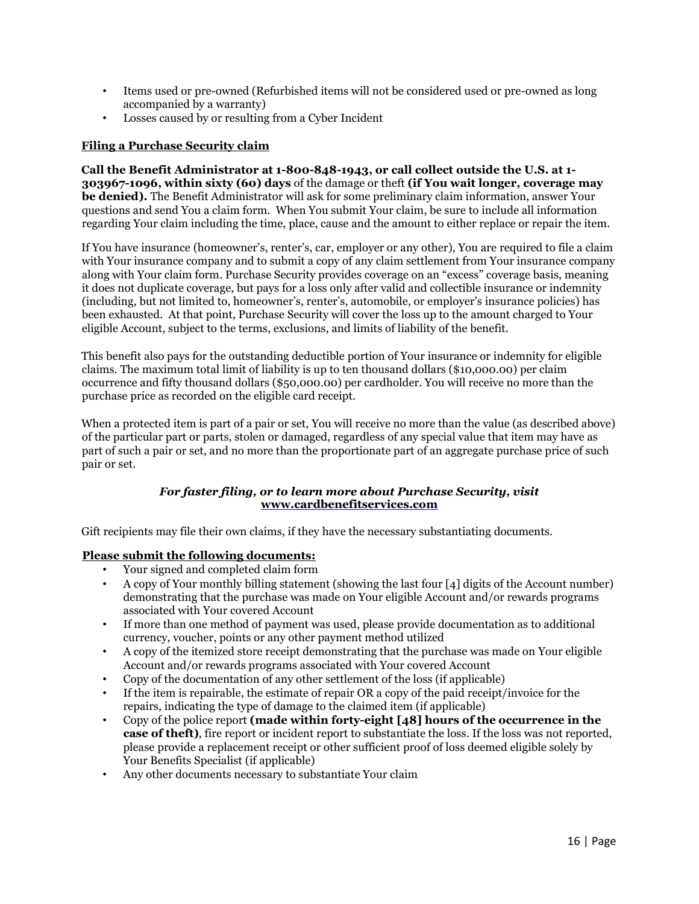- Items used or pre-owned (Refurbished items will not be considered used or pre-owned as long accompanied by a warranty)
- Losses caused by or resulting from a Cyber Incident

#### <span id="page-15-0"></span>**Filing a Purchase Security claim**

**Call the Benefit Administrator at 1-800-848-1943, or call collect outside the U.S. at 1- 303967-1096, within sixty (60) days** of the damage or theft **(if You wait longer, coverage may be denied).** The Benefit Administrator will ask for some preliminary claim information, answer Your questions and send You a claim form. When You submit Your claim, be sure to include all information regarding Your claim including the time, place, cause and the amount to either replace or repair the item.

If You have insurance (homeowner's, renter's, car, employer or any other), You are required to file a claim with Your insurance company and to submit a copy of any claim settlement from Your insurance company along with Your claim form. Purchase Security provides coverage on an "excess" coverage basis, meaning it does not duplicate coverage, but pays for a loss only after valid and collectible insurance or indemnity (including, but not limited to, homeowner's, renter's, automobile, or employer's insurance policies) has been exhausted. At that point, Purchase Security will cover the loss up to the amount charged to Your eligible Account, subject to the terms, exclusions, and limits of liability of the benefit.

This benefit also pays for the outstanding deductible portion of Your insurance or indemnity for eligible claims. The maximum total limit of liability is up to ten thousand dollars (\$10,000.00) per claim occurrence and fifty thousand dollars (\$50,000.00) per cardholder. You will receive no more than the purchase price as recorded on the eligible card receipt.

When a protected item is part of a pair or set, You will receive no more than the value (as described above) of the particular part or parts, stolen or damaged, regardless of any special value that item may have as part of such a pair or set, and no more than the proportionate part of an aggregate purchase price of such pair or set.

## *For faster filing, or to learn more about Purchase Security, visit* **[www.cardbenefitservices.com](http://www.visa.com/eclaims)**

Gift recipients may file their own claims, if they have the necessary substantiating documents.

#### <span id="page-15-1"></span>**Please submit the following documents:**

- Your signed and completed claim form<br>• A copy of Your monthly billing stateme
- A copy of Your monthly billing statement (showing the last four [4] digits of the Account number) demonstrating that the purchase was made on Your eligible Account and/or rewards programs associated with Your covered Account
- If more than one method of payment was used, please provide documentation as to additional currency, voucher, points or any other payment method utilized
- A copy of the itemized store receipt demonstrating that the purchase was made on Your eligible Account and/or rewards programs associated with Your covered Account
- Copy of the documentation of any other settlement of the loss (if applicable)
- If the item is repairable, the estimate of repair OR a copy of the paid receipt/invoice for the repairs, indicating the type of damage to the claimed item (if applicable)
- Copy of the police report **(made within forty-eight [48] hours of the occurrence in the case of theft)**, fire report or incident report to substantiate the loss. If the loss was not reported, please provide a replacement receipt or other sufficient proof of loss deemed eligible solely by Your Benefits Specialist (if applicable)
- Any other documents necessary to substantiate Your claim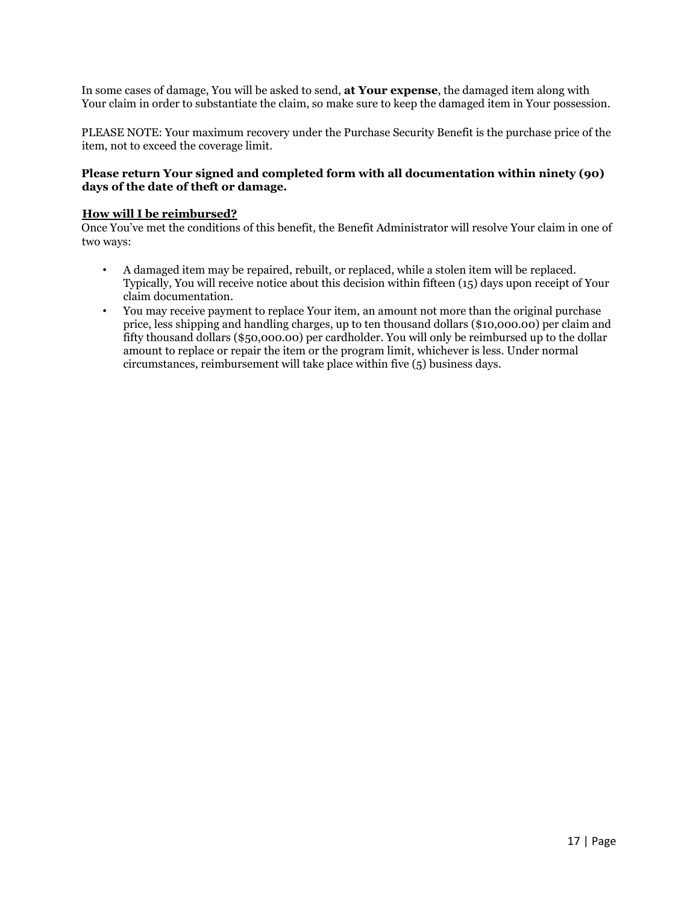In some cases of damage, You will be asked to send, **at Your expense**, the damaged item along with Your claim in order to substantiate the claim, so make sure to keep the damaged item in Your possession.

PLEASE NOTE: Your maximum recovery under the Purchase Security Benefit is the purchase price of the item, not to exceed the coverage limit.

## **Please return Your signed and completed form with all documentation within ninety (90) days of the date of theft or damage.**

## <span id="page-16-0"></span>**How will I be reimbursed?**

Once You've met the conditions of this benefit, the Benefit Administrator will resolve Your claim in one of two ways:

- A damaged item may be repaired, rebuilt, or replaced, while a stolen item will be replaced. Typically, You will receive notice about this decision within fifteen (15) days upon receipt of Your claim documentation.
- You may receive payment to replace Your item, an amount not more than the original purchase price, less shipping and handling charges, up to ten thousand dollars (\$10,000.00) per claim and fifty thousand dollars (\$50,000.00) per cardholder. You will only be reimbursed up to the dollar amount to replace or repair the item or the program limit, whichever is less. Under normal circumstances, reimbursement will take place within five (5) business days.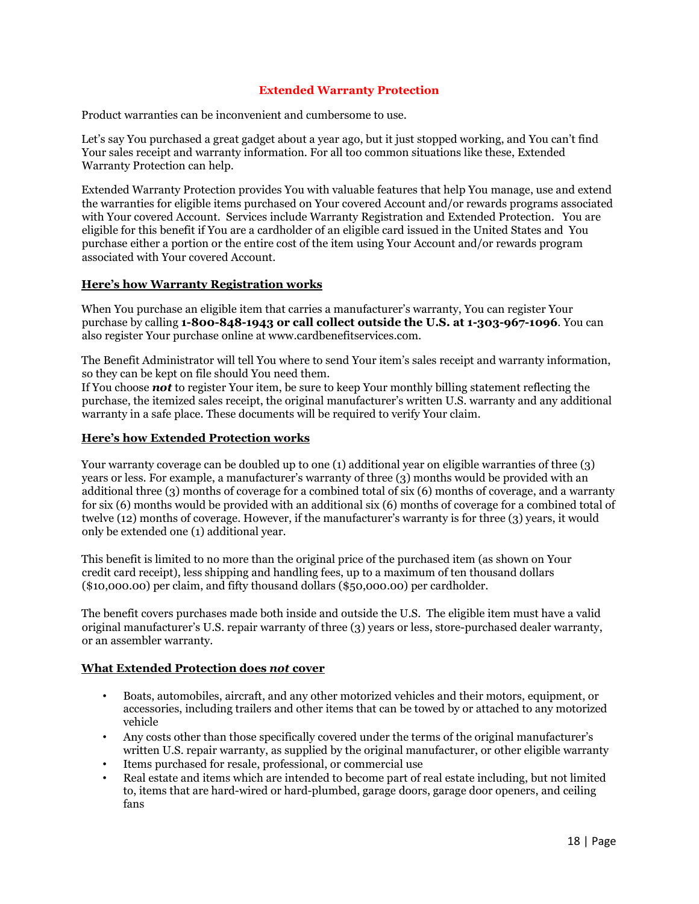## **Extended Warranty Protection**

<span id="page-17-0"></span>Product warranties can be inconvenient and cumbersome to use.

Let's say You purchased a great gadget about a year ago, but it just stopped working, and You can't find Your sales receipt and warranty information. For all too common situations like these, Extended Warranty Protection can help.

Extended Warranty Protection provides You with valuable features that help You manage, use and extend the warranties for eligible items purchased on Your covered Account and/or rewards programs associated with Your covered Account. Services include Warranty Registration and Extended Protection. You are eligible for this benefit if You are a cardholder of an eligible card issued in the United States and You purchase either a portion or the entire cost of the item using Your Account and/or rewards program associated with Your covered Account.

#### <span id="page-17-1"></span>**Here's how Warranty Registration works**

When You purchase an eligible item that carries a manufacturer's warranty, You can register Your purchase by calling **1-800-848-1943 or call collect outside the U.S. at 1-303-967-1096**. You can also register Your purchase online at www.cardbenefitservices.com.

The Benefit Administrator will tell You where to send Your item's sales receipt and warranty information, so they can be kept on file should You need them.

If You choose *not* to register Your item, be sure to keep Your monthly billing statement reflecting the purchase, the itemized sales receipt, the original manufacturer's written U.S. warranty and any additional warranty in a safe place. These documents will be required to verify Your claim.

#### <span id="page-17-2"></span>**Here's how Extended Protection works**

Your warranty coverage can be doubled up to one (1) additional year on eligible warranties of three (3) years or less. For example, a manufacturer's warranty of three (3) months would be provided with an additional three (3) months of coverage for a combined total of six (6) months of coverage, and a warranty for six (6) months would be provided with an additional six (6) months of coverage for a combined total of twelve (12) months of coverage. However, if the manufacturer's warranty is for three (3) years, it would only be extended one (1) additional year.

This benefit is limited to no more than the original price of the purchased item (as shown on Your credit card receipt), less shipping and handling fees, up to a maximum of ten thousand dollars (\$10,000.00) per claim, and fifty thousand dollars (\$50,000.00) per cardholder.

The benefit covers purchases made both inside and outside the U.S. The eligible item must have a valid original manufacturer's U.S. repair warranty of three (3) years or less, store-purchased dealer warranty, or an assembler warranty.

#### <span id="page-17-3"></span>**What Extended Protection does** *not* **cover**

- Boats, automobiles, aircraft, and any other motorized vehicles and their motors, equipment, or accessories, including trailers and other items that can be towed by or attached to any motorized vehicle
- Any costs other than those specifically covered under the terms of the original manufacturer's written U.S. repair warranty, as supplied by the original manufacturer, or other eligible warranty
- Items purchased for resale, professional, or commercial use
- Real estate and items which are intended to become part of real estate including, but not limited to, items that are hard-wired or hard-plumbed, garage doors, garage door openers, and ceiling fans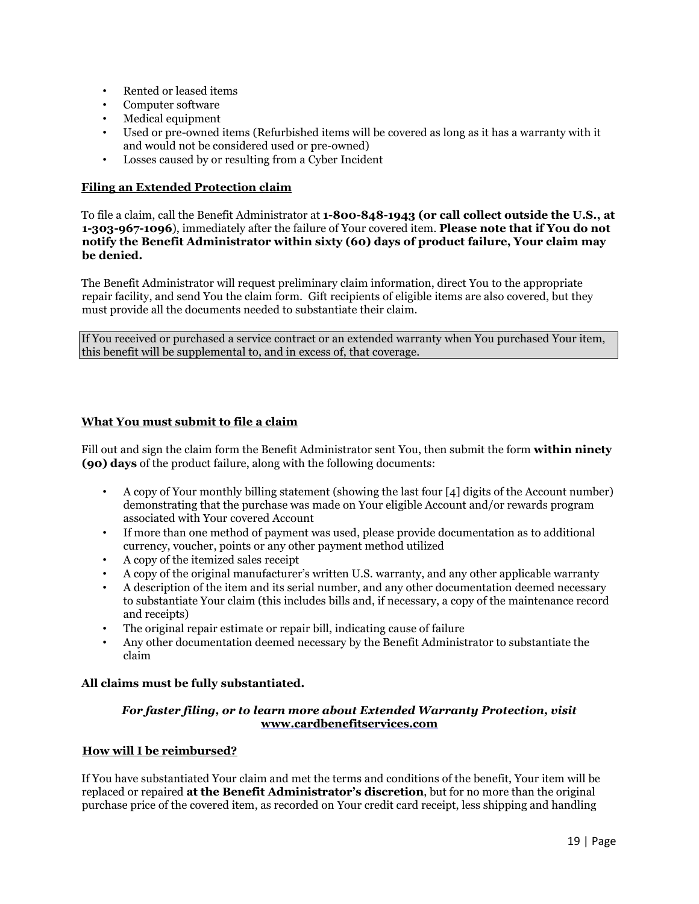- Rented or leased items
- Computer software
- Medical equipment
- Used or pre-owned items (Refurbished items will be covered as long as it has a warranty with it and would not be considered used or pre-owned)
- Losses caused by or resulting from a Cyber Incident

## <span id="page-18-0"></span>**Filing an Extended Protection claim**

To file a claim, call the Benefit Administrator at **1-800-848-1943 (or call collect outside the U.S., at 1-303-967-1096**), immediately after the failure of Your covered item. **Please note that if You do not notify the Benefit Administrator within sixty (60) days of product failure, Your claim may be denied.** 

The Benefit Administrator will request preliminary claim information, direct You to the appropriate repair facility, and send You the claim form. Gift recipients of eligible items are also covered, but they must provide all the documents needed to substantiate their claim.

If You received or purchased a service contract or an extended warranty when You purchased Your item, this benefit will be supplemental to, and in excess of, that coverage.

## <span id="page-18-1"></span>**What You must submit to file a claim**

Fill out and sign the claim form the Benefit Administrator sent You, then submit the form **within ninety (90) days** of the product failure, along with the following documents:

- A copy of Your monthly billing statement (showing the last four [4] digits of the Account number) demonstrating that the purchase was made on Your eligible Account and/or rewards program associated with Your covered Account
- If more than one method of payment was used, please provide documentation as to additional currency, voucher, points or any other payment method utilized
- A copy of the itemized sales receipt
- A copy of the original manufacturer's written U.S. warranty, and any other applicable warranty
- A description of the item and its serial number, and any other documentation deemed necessary to substantiate Your claim (this includes bills and, if necessary, a copy of the maintenance record and receipts)
- The original repair estimate or repair bill, indicating cause of failure
- Any other documentation deemed necessary by the Benefit Administrator to substantiate the claim

#### **All claims must be fully substantiated.**

## *For faster filing, or to learn more about Extended Warranty Protection, visit* **[www.cardbenefitservices.com](http://www.cardbenefitservices.com/)**

#### <span id="page-18-2"></span>**How will I be reimbursed?**

If You have substantiated Your claim and met the terms and conditions of the benefit, Your item will be replaced or repaired **at the Benefit Administrator's discretion**, but for no more than the original purchase price of the covered item, as recorded on Your credit card receipt, less shipping and handling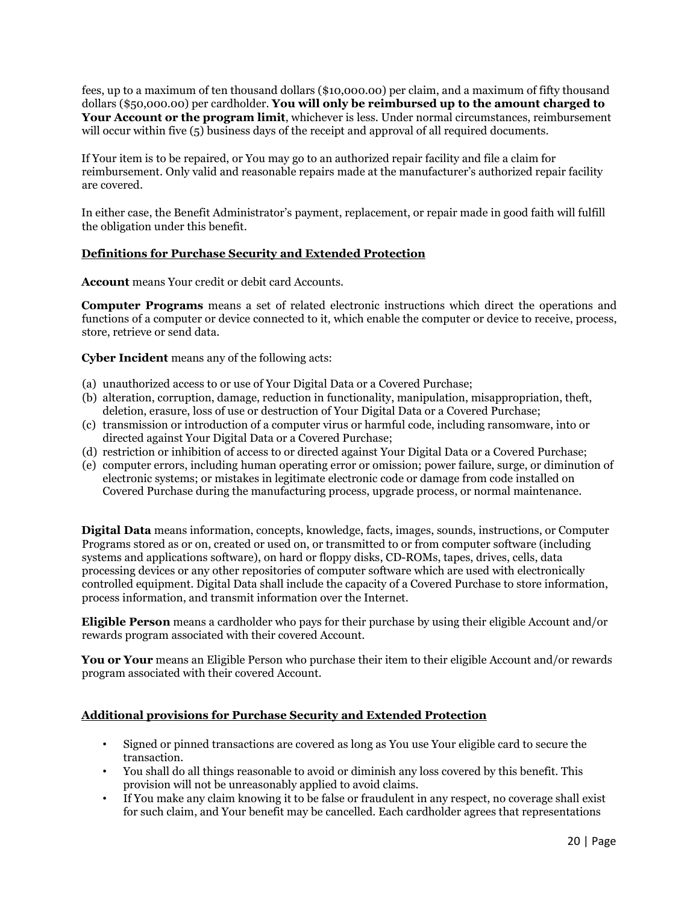fees, up to a maximum of ten thousand dollars (\$10,000.00) per claim, and a maximum of fifty thousand dollars (\$50,000.00) per cardholder. **You will only be reimbursed up to the amount charged to Your Account or the program limit**, whichever is less. Under normal circumstances, reimbursement will occur within five (5) business days of the receipt and approval of all required documents.

If Your item is to be repaired, or You may go to an authorized repair facility and file a claim for reimbursement. Only valid and reasonable repairs made at the manufacturer's authorized repair facility are covered.

In either case, the Benefit Administrator's payment, replacement, or repair made in good faith will fulfill the obligation under this benefit.

## <span id="page-19-0"></span>**Definitions for Purchase Security and Extended Protection**

**Account** means Your credit or debit card Accounts.

**Computer Programs** means a set of related electronic instructions which direct the operations and functions of a computer or device connected to it, which enable the computer or device to receive, process, store, retrieve or send data.

**Cyber Incident** means any of the following acts:

- (a) unauthorized access to or use of Your Digital Data or a Covered Purchase;
- (b) alteration, corruption, damage, reduction in functionality, manipulation, misappropriation, theft, deletion, erasure, loss of use or destruction of Your Digital Data or a Covered Purchase;
- (c) transmission or introduction of a computer virus or harmful code, including ransomware, into or directed against Your Digital Data or a Covered Purchase;
- (d) restriction or inhibition of access to or directed against Your Digital Data or a Covered Purchase;
- (e) computer errors, including human operating error or omission; power failure, surge, or diminution of electronic systems; or mistakes in legitimate electronic code or damage from code installed on Covered Purchase during the manufacturing process, upgrade process, or normal maintenance.

**Digital Data** means information, concepts, knowledge, facts, images, sounds, instructions, or Computer Programs stored as or on, created or used on, or transmitted to or from computer software (including systems and applications software), on hard or floppy disks, CD-ROMs, tapes, drives, cells, data processing devices or any other repositories of computer software which are used with electronically controlled equipment. Digital Data shall include the capacity of a Covered Purchase to store information, process information, and transmit information over the Internet.

**Eligible Person** means a cardholder who pays for their purchase by using their eligible Account and/or rewards program associated with their covered Account.

**You or Your** means an Eligible Person who purchase their item to their eligible Account and/or rewards program associated with their covered Account.

#### <span id="page-19-1"></span>**Additional provisions for Purchase Security and Extended Protection**

- Signed or pinned transactions are covered as long as You use Your eligible card to secure the transaction.
- You shall do all things reasonable to avoid or diminish any loss covered by this benefit. This provision will not be unreasonably applied to avoid claims.
- If You make any claim knowing it to be false or fraudulent in any respect, no coverage shall exist for such claim, and Your benefit may be cancelled. Each cardholder agrees that representations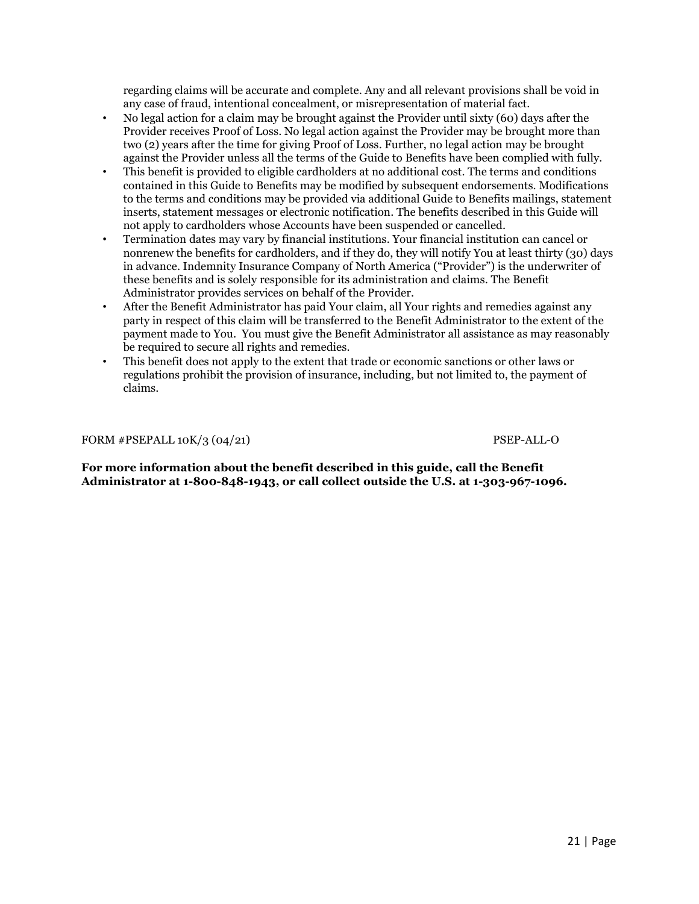regarding claims will be accurate and complete. Any and all relevant provisions shall be void in any case of fraud, intentional concealment, or misrepresentation of material fact.

- No legal action for a claim may be brought against the Provider until sixty (60) days after the Provider receives Proof of Loss. No legal action against the Provider may be brought more than two (2) years after the time for giving Proof of Loss. Further, no legal action may be brought against the Provider unless all the terms of the Guide to Benefits have been complied with fully.
- This benefit is provided to eligible cardholders at no additional cost. The terms and conditions contained in this Guide to Benefits may be modified by subsequent endorsements. Modifications to the terms and conditions may be provided via additional Guide to Benefits mailings, statement inserts, statement messages or electronic notification. The benefits described in this Guide will not apply to cardholders whose Accounts have been suspended or cancelled.
- Termination dates may vary by financial institutions. Your financial institution can cancel or nonrenew the benefits for cardholders, and if they do, they will notify You at least thirty (30) days in advance. Indemnity Insurance Company of North America ("Provider") is the underwriter of these benefits and is solely responsible for its administration and claims. The Benefit Administrator provides services on behalf of the Provider.
- After the Benefit Administrator has paid Your claim, all Your rights and remedies against any party in respect of this claim will be transferred to the Benefit Administrator to the extent of the payment made to You. You must give the Benefit Administrator all assistance as may reasonably be required to secure all rights and remedies.
- This benefit does not apply to the extent that trade or economic sanctions or other laws or regulations prohibit the provision of insurance, including, but not limited to, the payment of claims.

FORM #PSEPALL 10K/3 (04/21) PSEP-ALL-O

**For more information about the benefit described in this guide, call the Benefit Administrator at 1-800-848-1943, or call collect outside the U.S. at 1-303-967-1096.**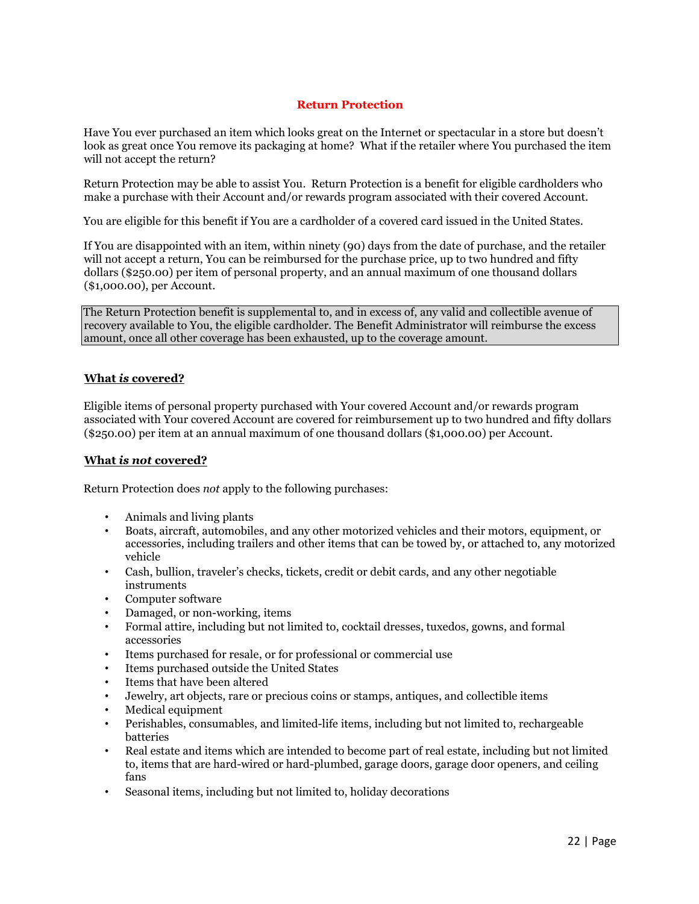## **Return Protection**

<span id="page-21-0"></span>Have You ever purchased an item which looks great on the Internet or spectacular in a store but doesn't look as great once You remove its packaging at home? What if the retailer where You purchased the item will not accept the return?

Return Protection may be able to assist You. Return Protection is a benefit for eligible cardholders who make a purchase with their Account and/or rewards program associated with their covered Account.

You are eligible for this benefit if You are a cardholder of a covered card issued in the United States.

If You are disappointed with an item, within ninety (90) days from the date of purchase, and the retailer will not accept a return, You can be reimbursed for the purchase price, up to two hundred and fifty dollars (\$250.00) per item of personal property, and an annual maximum of one thousand dollars (\$1,000.00), per Account.

The Return Protection benefit is supplemental to, and in excess of, any valid and collectible avenue of recovery available to You, the eligible cardholder. The Benefit Administrator will reimburse the excess amount, once all other coverage has been exhausted, up to the coverage amount.

## <span id="page-21-1"></span>**What** *is* **covered?**

Eligible items of personal property purchased with Your covered Account and/or rewards program associated with Your covered Account are covered for reimbursement up to two hundred and fifty dollars (\$250.00) per item at an annual maximum of one thousand dollars (\$1,000.00) per Account.

#### <span id="page-21-2"></span>**What** *is not* **covered?**

Return Protection does *not* apply to the following purchases:

- Animals and living plants
- Boats, aircraft, automobiles, and any other motorized vehicles and their motors, equipment, or accessories, including trailers and other items that can be towed by, or attached to, any motorized vehicle
- Cash, bullion, traveler's checks, tickets, credit or debit cards, and any other negotiable instruments
- Computer software
- Damaged, or non-working, items
- Formal attire, including but not limited to, cocktail dresses, tuxedos, gowns, and formal accessories
- Items purchased for resale, or for professional or commercial use
- Items purchased outside the United States
- Items that have been altered
- Jewelry, art objects, rare or precious coins or stamps, antiques, and collectible items
- Medical equipment
- Perishables, consumables, and limited-life items, including but not limited to, rechargeable batteries
- Real estate and items which are intended to become part of real estate, including but not limited to, items that are hard-wired or hard-plumbed, garage doors, garage door openers, and ceiling fans
- Seasonal items, including but not limited to, holiday decorations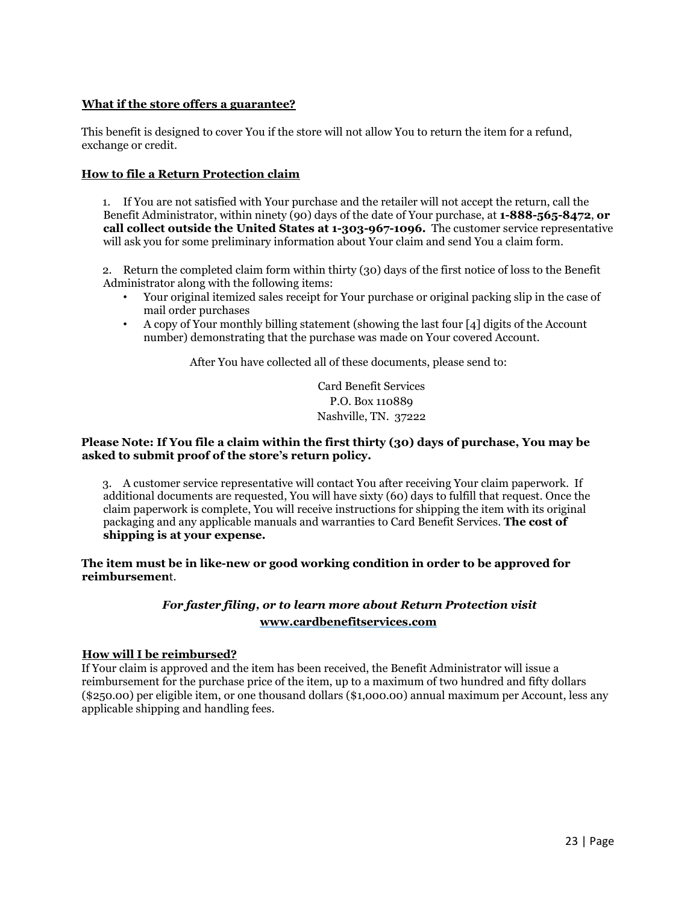## <span id="page-22-0"></span>**What if the store offers a guarantee?**

This benefit is designed to cover You if the store will not allow You to return the item for a refund, exchange or credit.

## <span id="page-22-1"></span>**How to file a Return Protection claim**

1. If You are not satisfied with Your purchase and the retailer will not accept the return, call the Benefit Administrator, within ninety (90) days of the date of Your purchase, at **1-888-565-8472**, **or call collect outside the United States at 1-303-967-1096.** The customer service representative will ask you for some preliminary information about Your claim and send You a claim form.

2. Return the completed claim form within thirty (30) days of the first notice of loss to the Benefit Administrator along with the following items:

- Your original itemized sales receipt for Your purchase or original packing slip in the case of mail order purchases
- A copy of Your monthly billing statement (showing the last four [4] digits of the Account number) demonstrating that the purchase was made on Your covered Account.

After You have collected all of these documents, please send to:

Card Benefit Services P.O. Box 110889 Nashville, TN. 37222

## **Please Note: If You file a claim within the first thirty (30) days of purchase, You may be asked to submit proof of the store's return policy.**

3. A customer service representative will contact You after receiving Your claim paperwork. If additional documents are requested, You will have sixty (60) days to fulfill that request. Once the claim paperwork is complete, You will receive instructions for shipping the item with its original packaging and any applicable manuals and warranties to Card Benefit Services. **The cost of shipping is at your expense.** 

**The item must be in like-new or good working condition in order to be approved for reimbursemen**t.

## *For faster filing, or to learn more about Return Protection visit*  **[www.cardbenefitservices.com](http://www.cardbenefitservices.com/)**

#### <span id="page-22-2"></span>**How will I be reimbursed?**

If Your claim is approved and the item has been received, the Benefit Administrator will issue a reimbursement for the purchase price of the item, up to a maximum of two hundred and fifty dollars (\$250.00) per eligible item, or one thousand dollars (\$1,000.00) annual maximum per Account, less any applicable shipping and handling fees.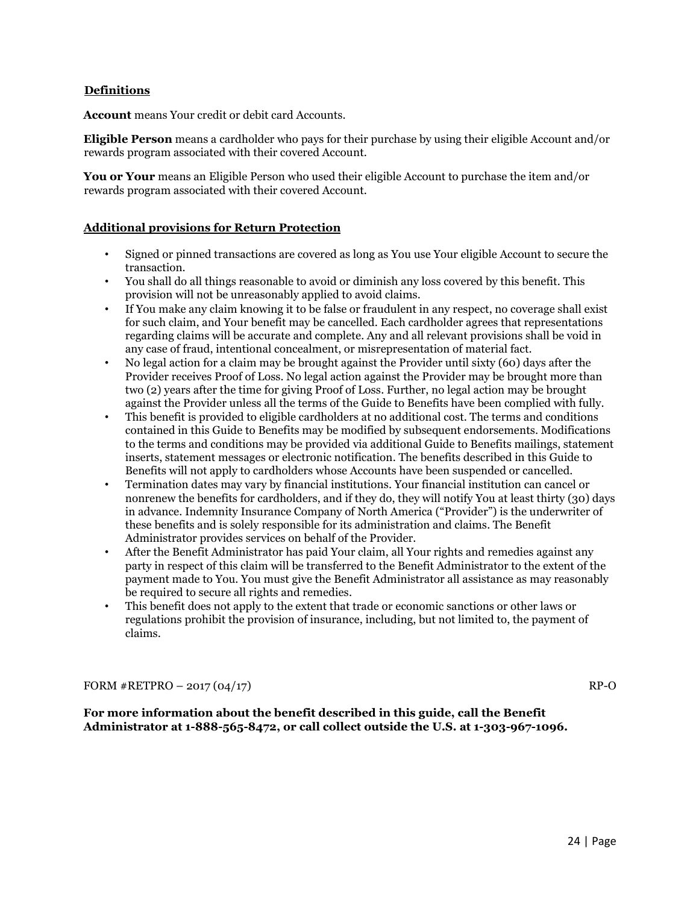## <span id="page-23-0"></span>**Definitions**

**Account** means Your credit or debit card Accounts.

**Eligible Person** means a cardholder who pays for their purchase by using their eligible Account and/or rewards program associated with their covered Account.

You or Your means an Eligible Person who used their eligible Account to purchase the item and/or rewards program associated with their covered Account.

## <span id="page-23-1"></span>**Additional provisions for Return Protection**

- Signed or pinned transactions are covered as long as You use Your eligible Account to secure the transaction.
- You shall do all things reasonable to avoid or diminish any loss covered by this benefit. This provision will not be unreasonably applied to avoid claims.
- If You make any claim knowing it to be false or fraudulent in any respect, no coverage shall exist for such claim, and Your benefit may be cancelled. Each cardholder agrees that representations regarding claims will be accurate and complete. Any and all relevant provisions shall be void in any case of fraud, intentional concealment, or misrepresentation of material fact.
- No legal action for a claim may be brought against the Provider until sixty (60) days after the Provider receives Proof of Loss. No legal action against the Provider may be brought more than two (2) years after the time for giving Proof of Loss. Further, no legal action may be brought against the Provider unless all the terms of the Guide to Benefits have been complied with fully.
- This benefit is provided to eligible cardholders at no additional cost. The terms and conditions contained in this Guide to Benefits may be modified by subsequent endorsements. Modifications to the terms and conditions may be provided via additional Guide to Benefits mailings, statement inserts, statement messages or electronic notification. The benefits described in this Guide to Benefits will not apply to cardholders whose Accounts have been suspended or cancelled.
- Termination dates may vary by financial institutions. Your financial institution can cancel or nonrenew the benefits for cardholders, and if they do, they will notify You at least thirty (30) days in advance. Indemnity Insurance Company of North America ("Provider") is the underwriter of these benefits and is solely responsible for its administration and claims. The Benefit Administrator provides services on behalf of the Provider.
- After the Benefit Administrator has paid Your claim, all Your rights and remedies against any party in respect of this claim will be transferred to the Benefit Administrator to the extent of the payment made to You. You must give the Benefit Administrator all assistance as may reasonably be required to secure all rights and remedies.
- This benefit does not apply to the extent that trade or economic sanctions or other laws or regulations prohibit the provision of insurance, including, but not limited to, the payment of claims.

FORM  $\#RETPRO - 2017(04/17)$  RP-O

**For more information about the benefit described in this guide, call the Benefit Administrator at 1-888-565-8472, or call collect outside the U.S. at 1-303-967-1096.**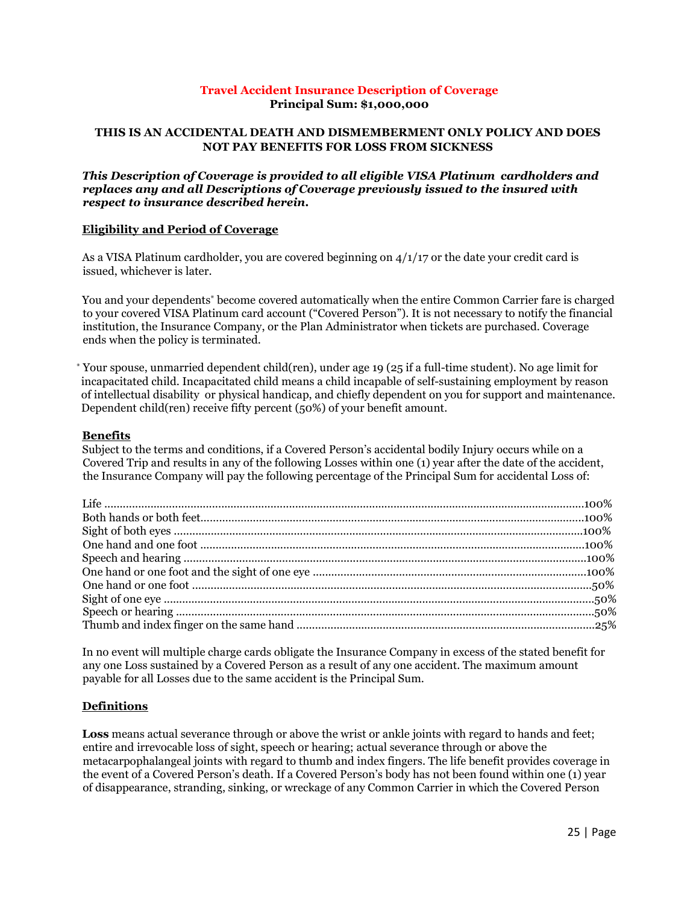## **Travel Accident Insurance Description of Coverage Principal Sum: \$1,000,000**

## <span id="page-24-0"></span>**THIS IS AN ACCIDENTAL DEATH AND DISMEMBERMENT ONLY POLICY AND DOES NOT PAY BENEFITS FOR LOSS FROM SICKNESS**

#### *This Description of Coverage is provided to all eligible VISA Platinum cardholders and replaces any and all Descriptions of Coverage previously issued to the insured with respect to insurance described herein.*

## <span id="page-24-1"></span>**Eligibility and Period of Coverage**

As a VISA Platinum cardholder, you are covered beginning on 4/1/17 or the date your credit card is issued, whichever is later.

You and your dependents\* become covered automatically when the entire Common Carrier fare is charged to your covered VISA Platinum card account ("Covered Person"). It is not necessary to notify the financial institution, the Insurance Company, or the Plan Administrator when tickets are purchased. Coverage ends when the policy is terminated.

\* Your spouse, unmarried dependent child(ren), under age 19 (25 if a full-time student). No age limit for incapacitated child. Incapacitated child means a child incapable of self-sustaining employment by reason of intellectual disability or physical handicap, and chiefly dependent on you for support and maintenance. Dependent child(ren) receive fifty percent (50%) of your benefit amount.

#### <span id="page-24-2"></span>**Benefits**

Subject to the terms and conditions, if a Covered Person's accidental bodily Injury occurs while on a Covered Trip and results in any of the following Losses within one (1) year after the date of the accident, the Insurance Company will pay the following percentage of the Principal Sum for accidental Loss of:

In no event will multiple charge cards obligate the Insurance Company in excess of the stated benefit for any one Loss sustained by a Covered Person as a result of any one accident. The maximum amount payable for all Losses due to the same accident is the Principal Sum.

#### <span id="page-24-3"></span>**Definitions**

**Loss** means actual severance through or above the wrist or ankle joints with regard to hands and feet; entire and irrevocable loss of sight, speech or hearing; actual severance through or above the metacarpophalangeal joints with regard to thumb and index fingers. The life benefit provides coverage in the event of a Covered Person's death. If a Covered Person's body has not been found within one (1) year of disappearance, stranding, sinking, or wreckage of any Common Carrier in which the Covered Person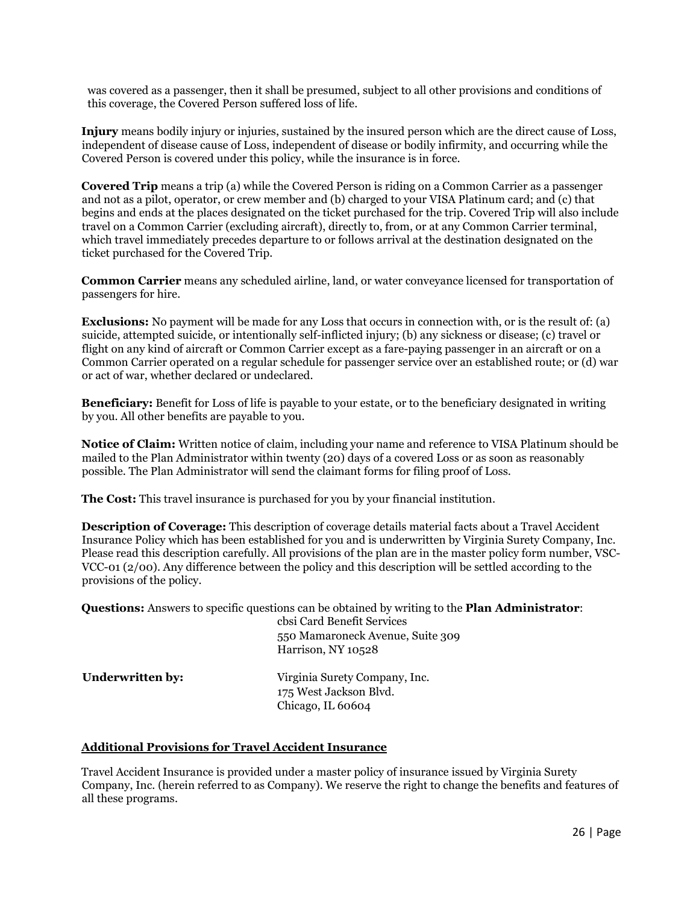was covered as a passenger, then it shall be presumed, subject to all other provisions and conditions of this coverage, the Covered Person suffered loss of life.

**Injury** means bodily injury or injuries, sustained by the insured person which are the direct cause of Loss, independent of disease cause of Loss, independent of disease or bodily infirmity, and occurring while the Covered Person is covered under this policy, while the insurance is in force.

**Covered Trip** means a trip (a) while the Covered Person is riding on a Common Carrier as a passenger and not as a pilot, operator, or crew member and (b) charged to your VISA Platinum card; and (c) that begins and ends at the places designated on the ticket purchased for the trip. Covered Trip will also include travel on a Common Carrier (excluding aircraft), directly to, from, or at any Common Carrier terminal, which travel immediately precedes departure to or follows arrival at the destination designated on the ticket purchased for the Covered Trip.

**Common Carrier** means any scheduled airline, land, or water conveyance licensed for transportation of passengers for hire.

**Exclusions:** No payment will be made for any Loss that occurs in connection with, or is the result of: (a) suicide, attempted suicide, or intentionally self-inflicted injury; (b) any sickness or disease; (c) travel or flight on any kind of aircraft or Common Carrier except as a fare-paying passenger in an aircraft or on a Common Carrier operated on a regular schedule for passenger service over an established route; or (d) war or act of war, whether declared or undeclared.

**Beneficiary:** Benefit for Loss of life is payable to your estate, or to the beneficiary designated in writing by you. All other benefits are payable to you.

**Notice of Claim:** Written notice of claim, including your name and reference to VISA Platinum should be mailed to the Plan Administrator within twenty (20) days of a covered Loss or as soon as reasonably possible. The Plan Administrator will send the claimant forms for filing proof of Loss.

**The Cost:** This travel insurance is purchased for you by your financial institution.

**Description of Coverage:** This description of coverage details material facts about a Travel Accident Insurance Policy which has been established for you and is underwritten by Virginia Surety Company, Inc. Please read this description carefully. All provisions of the plan are in the master policy form number, VSC-VCC-01 (2/00). Any difference between the policy and this description will be settled according to the provisions of the policy.

**Questions:** Answers to specific questions can be obtained by writing to the **Plan Administrator**:

cbsi Card Benefit Services

|                  | 550 Mamaroneck Avenue, Suite 309<br>Harrison, NY 10528                       |
|------------------|------------------------------------------------------------------------------|
| Underwritten by: | Virginia Surety Company, Inc.<br>175 West Jackson Blvd.<br>Chicago, IL 60604 |

#### <span id="page-25-0"></span>**Additional Provisions for Travel Accident Insurance**

Travel Accident Insurance is provided under a master policy of insurance issued by Virginia Surety Company, Inc. (herein referred to as Company). We reserve the right to change the benefits and features of all these programs.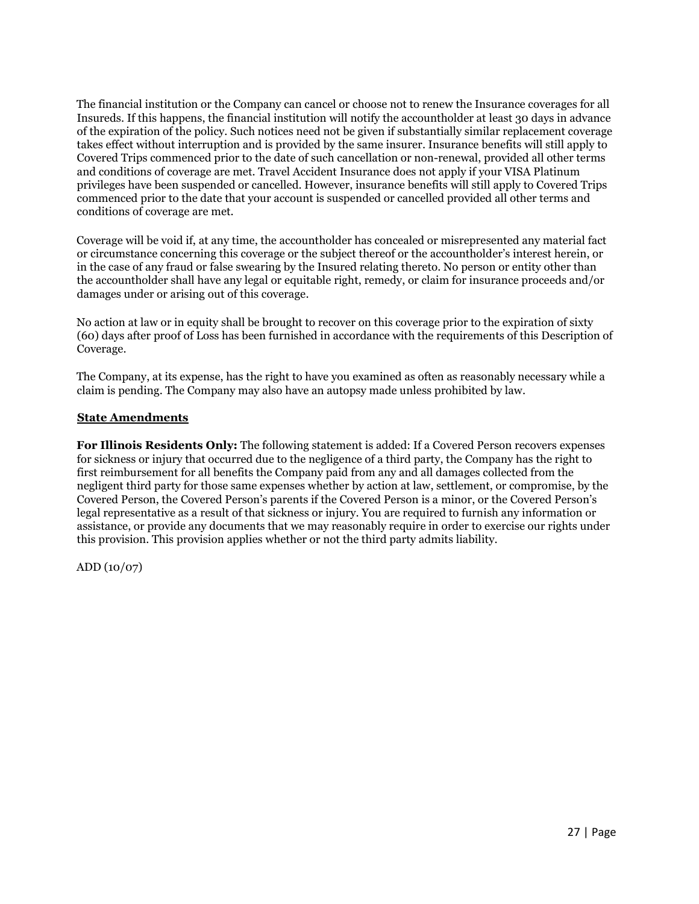The financial institution or the Company can cancel or choose not to renew the Insurance coverages for all Insureds. If this happens, the financial institution will notify the accountholder at least 30 days in advance of the expiration of the policy. Such notices need not be given if substantially similar replacement coverage takes effect without interruption and is provided by the same insurer. Insurance benefits will still apply to Covered Trips commenced prior to the date of such cancellation or non-renewal, provided all other terms and conditions of coverage are met. Travel Accident Insurance does not apply if your VISA Platinum privileges have been suspended or cancelled. However, insurance benefits will still apply to Covered Trips commenced prior to the date that your account is suspended or cancelled provided all other terms and conditions of coverage are met.

Coverage will be void if, at any time, the accountholder has concealed or misrepresented any material fact or circumstance concerning this coverage or the subject thereof or the accountholder's interest herein, or in the case of any fraud or false swearing by the Insured relating thereto. No person or entity other than the accountholder shall have any legal or equitable right, remedy, or claim for insurance proceeds and/or damages under or arising out of this coverage.

No action at law or in equity shall be brought to recover on this coverage prior to the expiration of sixty (60) days after proof of Loss has been furnished in accordance with the requirements of this Description of Coverage.

The Company, at its expense, has the right to have you examined as often as reasonably necessary while a claim is pending. The Company may also have an autopsy made unless prohibited by law.

## <span id="page-26-0"></span>**State Amendments**

**For Illinois Residents Only:** The following statement is added: If a Covered Person recovers expenses for sickness or injury that occurred due to the negligence of a third party, the Company has the right to first reimbursement for all benefits the Company paid from any and all damages collected from the negligent third party for those same expenses whether by action at law, settlement, or compromise, by the Covered Person, the Covered Person's parents if the Covered Person is a minor, or the Covered Person's legal representative as a result of that sickness or injury. You are required to furnish any information or assistance, or provide any documents that we may reasonably require in order to exercise our rights under this provision. This provision applies whether or not the third party admits liability.

ADD (10/07)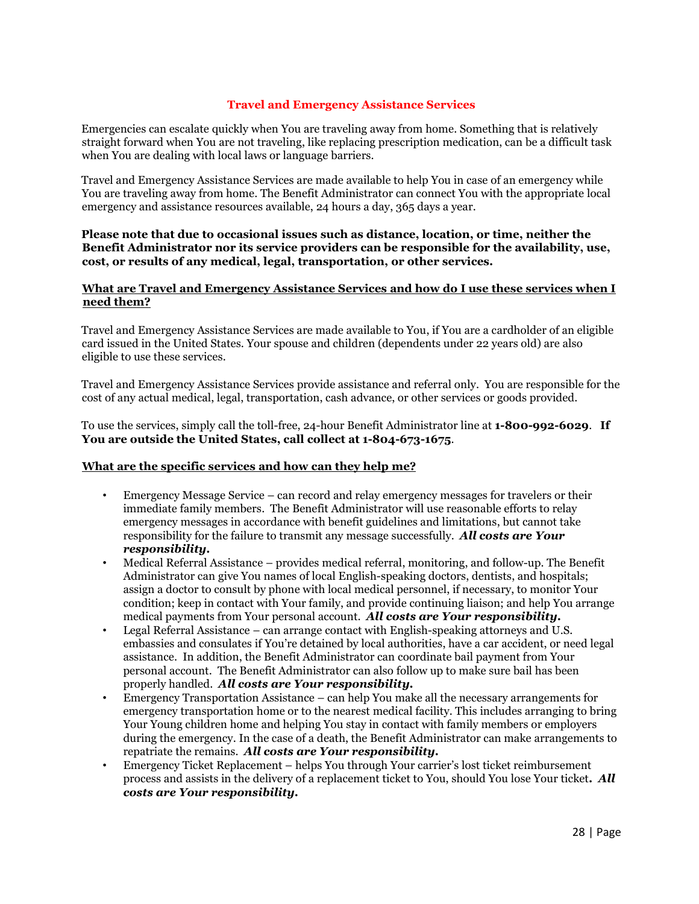## **Travel and Emergency Assistance Services**

<span id="page-27-0"></span>Emergencies can escalate quickly when You are traveling away from home. Something that is relatively straight forward when You are not traveling, like replacing prescription medication, can be a difficult task when You are dealing with local laws or language barriers.

Travel and Emergency Assistance Services are made available to help You in case of an emergency while You are traveling away from home. The Benefit Administrator can connect You with the appropriate local emergency and assistance resources available, 24 hours a day, 365 days a year.

## **Please note that due to occasional issues such as distance, location, or time, neither the Benefit Administrator nor its service providers can be responsible for the availability, use, cost, or results of any medical, legal, transportation, or other services.**

## <span id="page-27-1"></span>**What are Travel and Emergency Assistance Services and how do I use these services when I need them?**

Travel and Emergency Assistance Services are made available to You, if You are a cardholder of an eligible card issued in the United States. Your spouse and children (dependents under 22 years old) are also eligible to use these services.

Travel and Emergency Assistance Services provide assistance and referral only. You are responsible for the cost of any actual medical, legal, transportation, cash advance, or other services or goods provided.

To use the services, simply call the toll-free, 24-hour Benefit Administrator line at **1-800-992-6029**. **If You are outside the United States, call collect at 1-804-673-1675**.

#### <span id="page-27-2"></span>**What are the specific services and how can they help me?**

- Emergency Message Service can record and relay emergency messages for travelers or their immediate family members. The Benefit Administrator will use reasonable efforts to relay emergency messages in accordance with benefit guidelines and limitations, but cannot take responsibility for the failure to transmit any message successfully. *All costs are Your responsibility.*
- Medical Referral Assistance provides medical referral, monitoring, and follow-up. The Benefit Administrator can give You names of local English-speaking doctors, dentists, and hospitals; assign a doctor to consult by phone with local medical personnel, if necessary, to monitor Your condition; keep in contact with Your family, and provide continuing liaison; and help You arrange medical payments from Your personal account. *All costs are Your responsibility.*
- Legal Referral Assistance can arrange contact with English-speaking attorneys and U.S. embassies and consulates if You're detained by local authorities, have a car accident, or need legal assistance. In addition, the Benefit Administrator can coordinate bail payment from Your personal account. The Benefit Administrator can also follow up to make sure bail has been properly handled. *All costs are Your responsibility.*
- Emergency Transportation Assistance can help You make all the necessary arrangements for emergency transportation home or to the nearest medical facility. This includes arranging to bring Your Young children home and helping You stay in contact with family members or employers during the emergency. In the case of a death, the Benefit Administrator can make arrangements to repatriate the remains. *All costs are Your responsibility.*
- Emergency Ticket Replacement helps You through Your carrier's lost ticket reimbursement process and assists in the delivery of a replacement ticket to You, should You lose Your ticket**.** *All costs are Your responsibility.*